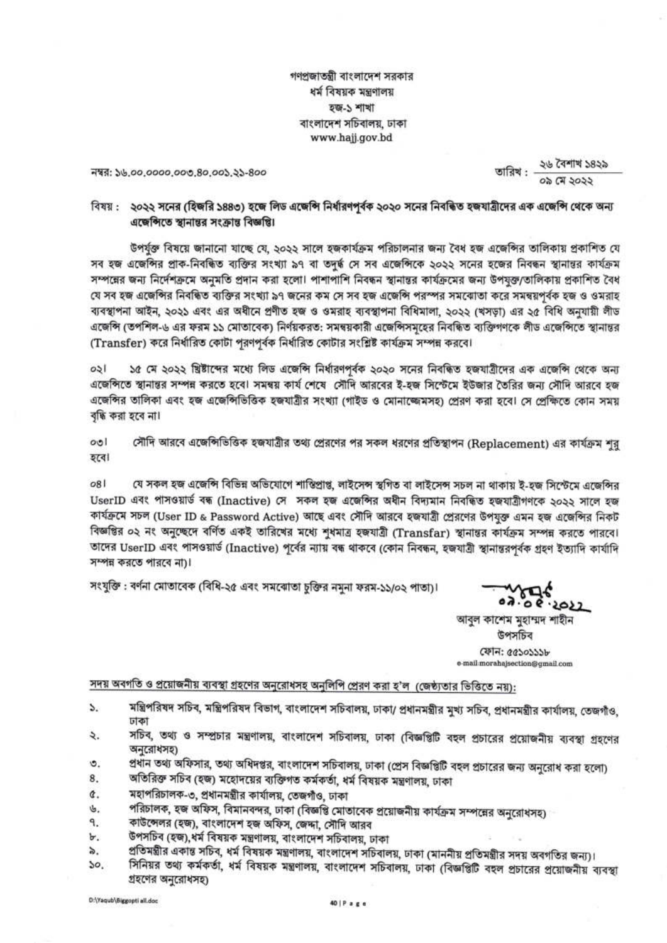গণপ্রজাতন্ত্রী বাংলাদেশ সরকার ধর্ম বিষয়ক মন্ত্রণালয় হজ-১ শাখা বাংলাদেশ সচিবালয়, ঢাকা www.hajj.gov.bd

নম্বর: ১৬.০০.০০০০.০০৩.৪০.০০১.২১-৪০০

২৬ বৈশাখ ১৪২৯ তারিখ : -০৯ মে ১০১১

#### বিষয় : ২০২২ সনের (হিজরি ১৪৪৩) হজে লিড এজেন্সি নির্ধারণপূর্বক ২০২০ সনের নিবন্ধিত হজযাত্রীদের এক এজেন্সি থেকে অন্য এছেন্সিতে স্থানান্তর সংক্রান্ত বিজ্ঞপ্তি।

উপর্যুক্ত বিষয়ে জানানো যাচ্ছে যে, ২০২২ সালে হজকার্যক্রম পরিচালনার জন্য বৈধ হজ এজেন্সির তালিকায় প্রকাশিত যে সব হজ এজেন্দির প্রাক-নিবন্ধিত ব্যক্তির সংখ্যা ৯৭ বা তদর্দ্ধ সে সব এজেন্দিকে ২০২২ সনের হজের নিবন্ধন স্থানান্তর কার্যক্রম সম্পন্নের জন্য নির্দেশক্রমে অনুমতি প্রদান করা হলো। পাশাপাশি নিবন্ধন স্থানান্তর কার্যক্রমের জন্য উপযুক্ত/তালিকায় প্রকাশিত বৈধ যে সব হজ এজেন্সির নিবন্ধিত ব্যক্তির সংখ্যা ৯৭ জনের কম সে সব হজ এজেন্সি পরস্পর সমব্যোতা করে সমন্বয়পর্বক হজ ও ওমরাহ ব্যবস্থাপনা আইন, ২০২১ এবং এর অধীনে প্রণীত হজ ও ওমরাহ ব্যবস্থাপনা বিধিমালা, ২০২২ (খসড়া) এর ২৫ বিধি অনুযায়ী লীড এজেন্সি (তপশিল-৬ এর ফরম ১১ মোতাবেক) নির্ণয়করত: সমন্বয়কারী এজেন্সিসমহের নিবন্ধিত ব্যক্তিগণকে লীড এজেন্সিতে স্থানান্তর (Transfer) করে নির্ধারিত কোটা পরণপর্বক নির্ধারিত কোটার সংশ্লিষ্ট কার্যক্রম সম্পন্ন করবে।

 $031$ ১৫ মে ২০২২ খ্রিষ্টাব্দের মধ্যে লিড এজেন্সি নির্ধারণপূর্বক ২০২০ সনের নিবন্ধিত হজযাত্রীদের এক এজেন্সি থেকে অন্য এজেন্সিতে স্থানান্তর সম্পন্ন করতে হবে। সমন্বয় কার্য শেষে সৌদি আরবের ই-হজ সিস্টেমে ইউজার তৈরির জন্য সৌদি আরবে হজ এজেন্সির তালিকা এবং হজ এজেন্সিভিত্তিক হজযাত্রীর সংখ্যা (গাইড ও মোনাজ্জেমসহ) প্রেরণ করা হবে। সে প্রেক্ষিতে কোন সময় বন্ধি করা হবে না।

সৌদি আরবে এজেন্সিভিত্তিক হজযাত্রীর তথ্য প্রেরণের পর সকল ধরণের প্রতিস্থাপন (Replacement) এর কার্যক্রম শুরু  $001$ হৰে৷

 $081$ যে সকল হজ এজেন্সি বিভিন্ন অভিযোগে শাস্তিপ্ৰাপ্ত, লাইসেন্স স্থগিত বা লাইসেন্স সচল না থাকায় ই-হজ সিস্টেমে এজেন্সির UserID এবং পাসওয়ার্ড বন্ধ (Inactive) সে সকল হজ এজেন্সির অধীন বিদ্যমান নিবন্ধিত হজযাত্রীগণকে ২০২২ সালে হজ কার্যক্রমে সচল (User ID & Password Active) আছে এবং সৌদি আরবে হজযাত্রী প্রেরণের উপযুক্ত এমন হজ এজেন্সির নিকট বিজ্ঞপ্তির ০২ নং অনুচ্ছেদে বর্ণিত একই তারিখের মধ্যে শুধমাত্র হজযাত্রী (Transfar) স্থানান্তর কার্যক্রম সম্পন্ন করতে পারবে। তাদের UserID এবং পাসওয়ার্ড (Inactive) পূর্বের ন্যায় বন্ধ থাকবে (কোন নিবন্ধন, হজযাত্রী স্থানান্তরপর্বক গ্রহণ ইত্যাদি কার্যাদি সম্পন্ন করতে পারবে না)।

সংযুক্তি : বর্ণনা মোতাবেক (বিধি-২৫ এবং সমঝোতা চুক্তির নমনা ফরম-১১/০২ পাতা)।

08.2022

আবুল কাশেম মুহাম্মদ শাহীন উপসচিব ফোন: ৫৫১০১১১৮ e-mail-morahajsection@gmail.com

সদয় অবগতি ও প্রয়োজনীয় ব্যবস্থা গ্রহণের অনুরোধসহ অনুলিপি প্রেরণ করা হ'ল (জেষ্ঠ্যতার ভিত্তিতে নয়):

- মন্ত্রিপরিষদ সচিব, মন্ত্রিপরিষদ বিভাগ, বাংলাদেশ সচিবালয়, ঢাকা/ প্রধানমন্ত্রীর মুখ্য সচিব, প্রধানমন্ত্রীর কার্যালয়, তেজগাঁও, S. ঢাকা
- সচিব, তথ্য ও সম্প্রচার মন্ত্রণালয়, বাংলাদেশ সচিবালয়, ঢাকা (বিজ্ঞপ্তিটি বহল প্রচারের প্রয়োজনীয় ব্যবস্থা গ্রহণের ₹. অনুরোধসহ)
- প্রধান তথ্য অফিসার, তথ্য অধিদপ্তর, বাংলাদেশ সচিবালয়, ঢাকা (প্রেস বিজ্ঞপ্তিটি বহল প্রচারের জন্য অনুরোধ করা হলো) ৩.
- অতিরিক্ত সচিব (হজ) মহোদয়ের ব্যক্তিগত কর্মকর্তা, ধর্ম বিষয়ক মন্ত্রণালয়, ঢাকা 8.
- মহাপরিচালক-৩, প্রধানমন্ত্রীর কার্যালয়, তেজগাঁও, ঢাকা ¢.
- পরিচালক, হজ অফিস, বিমানবন্দর, ঢাকা (বিজ্ঞপ্তি মোতাবেক প্রয়োজনীয় কার্যক্রম সম্পন্নের অনুরোধসহ) ib.
- কাউন্সেলর (হজ), বাংলাদেশ হজ অফিস, জেদ্দা, সৌদি আরব ٩.
- উপসচিব (হজ),ধর্ম বিষয়ক মন্ত্রণালয়, বাংলাদেশ সচিবালয়, ঢাকা Ъ.
- প্রতিমন্ত্রীর একান্ত সচিব, ধর্ম বিষয়ক মন্ত্রণালয়, বাংলাদেশ সচিবালয়, ঢাকা (মাননীয় প্রতিমন্ত্রীর সদয় অবগতির জন্য)। ৯.
- সিনিয়র তথ্য কর্মকর্তা, ধর্ম বিষয়ক মন্ত্রণালয়, বাংলাদেশ সচিবালয়, ঢাকা (বিজ্ঞপ্তিটি বহল প্রচারের প্রয়োজনীয় ব্যবস্থা  $50.$ গ্রহণের অনুরোধসহ)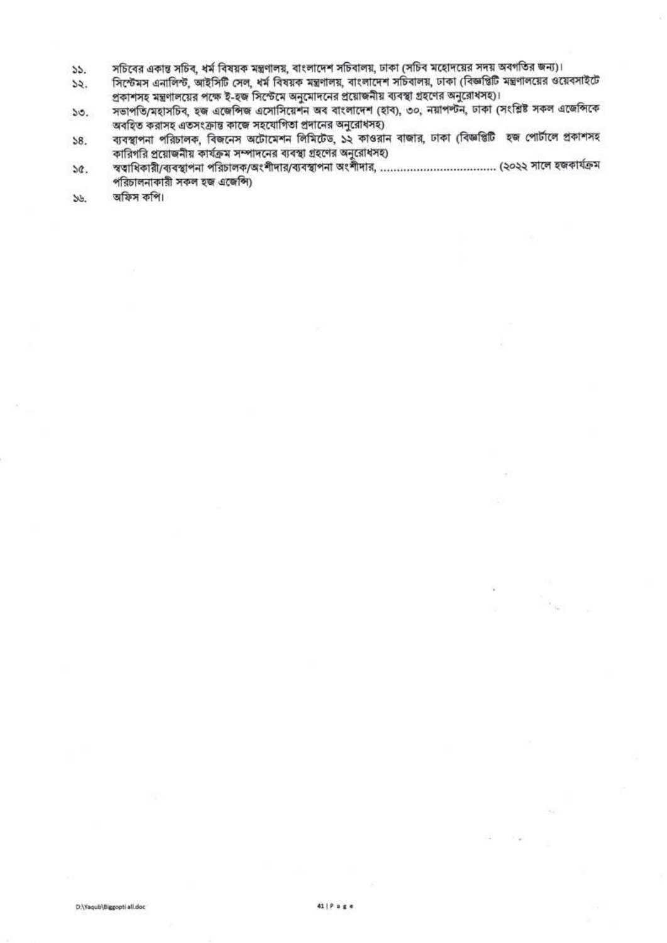- সচিবের একান্ত সচিব, ধর্ম বিষয়ক মন্ত্রণালয়, বাংলাদেশ সচিবালয়, ঢাকা (সচিব মহোদয়ের সদয় অবগতির জন্য)।  $55.$
- সিস্টেমস এনালিন্ট, আইসিটি সেল, ধর্ম বিষয়ক মন্ত্রণালয়, বাংলাদেশ সচিবালয়, ঢাকা (বিজ্ঞপ্তিটি মন্ত্রণালয়ের ওয়েবসাইটে  $55.$ প্রকাশসহ মন্ত্রণালয়ের পক্ষে ই-হজ সিস্টেমে অনুমোদনের প্রয়োজনীয় ব্যবস্থা গ্রহণের অনুরোধসহ)।
- সভাপতি/মহাসচিব, হজ এজেন্সিজ এসোসিয়েশন অব বাংলাদেশ (হাব), ৩০, নয়াপল্টন, ঢাকা (সংশ্লিষ্ট সকল এজেন্সিকে  $50.$ অবহিত করাসহ এতসংক্রান্ত কাজে সহযোগিতা প্রদানের অনুরোধসহ)
- ব্যবস্থাপনা পরিচালক, বিজনেস অটোমেশন লিমিটেড, ১২ কাওরান বাজার, ঢাকা (বিজ্ঞপ্তিটি হজ পোর্টালে প্রকাশসহ  $58.$ কারিগরি প্রয়োজনীয় কার্যক্রম সম্পাদনের ব্যবস্থা গ্রহণের অনুরোধসহ)
- SQ. পরিচালনাকারী সকল হজ এজেন্সি)
- অফিস কপি।  $33.$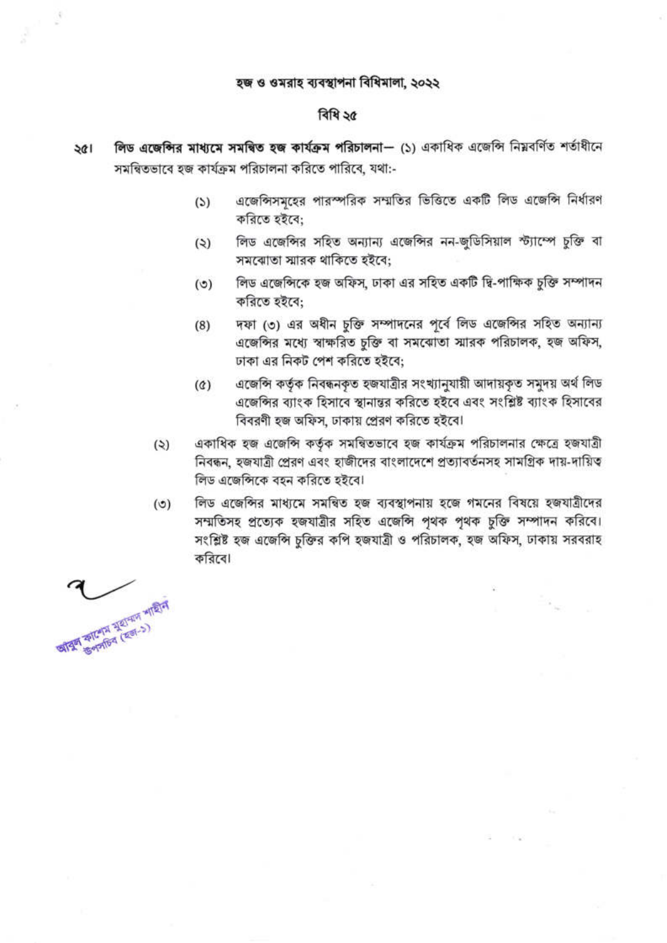#### হজ ও ওমরাহ ব্যবস্থাপনা বিধিমালা, ২০২২

#### বিধি ২৫

- লিড এজেন্সির মাধ্যমে সমন্বিত হজ কার্যক্রম পরিচালনা— (১) একাধিক এজেন্সি নিয়বর্ণিত শর্তাধীনে  $\frac{1}{2}$ সমন্বিতভাবে হজ কার্যক্রম পরিচালনা করিতে পারিবে, যথা:-
	- এজেন্সিসমূহের পারস্পরিক সম্মতির ভিত্তিতে একটি লিড এজেন্সি নির্ধারণ  $(5)$ করিতে হইবে:
	- লিড এজেন্সির সহিত অন্যান্য এজেন্সির নন-জুডিসিয়াল স্ট্যাম্পে চুক্তি বা  $(5)$ সমঝোতা স্মারক থাকিতে হইবে:
	- লিড এজেন্সিকে হজ অফিস, ঢাকা এর সহিত একটি দ্বি-পাক্ষিক চুক্তি সম্পাদন  $(5)$ করিতে হইবে:
	- দফা (৩) এর অধীন চুক্তি সম্পাদনের পূর্বে লিড এজেন্সির সহিত অন্যান্য  $(8)$ এজেন্সির মধ্যে স্বাক্ষরিত চুক্তি বা সমঝোতা স্মারক পরিচালক, হজ অফিস, ঢাকা এর নিকট পেশ করিতে হইবে:
	- এজেন্সি কর্তৃক নিবন্ধনকৃত হজযাত্রীর সংখ্যানুযায়ী আদায়কৃত সমুদয় অর্থ লিড  $(\mathcal{D})$ এজেন্সির ব্যাংক হিসাবে স্থানান্তর করিতে হইবে এবং সংশ্লিষ্ট ব্যাংক হিসাবের বিবরণী হজ অফিস, ঢাকায় প্রেরণ করিতে হইবে।
	- একাধিক হজ এজেন্সি কর্তৃক সমন্বিতভাবে হজ কার্যক্রম পরিচালনার ক্ষেত্রে হজযাত্রী  $(5)$ নিবন্ধন, হজযাত্ৰী প্ৰেরণ এবং হাজীদের বাংলাদেশে প্রত্যাবর্তনসহ সামগ্রিক দায়-দায়িত্ব লিড এজেন্সিকে বহন করিতে হইবে।
	- লিড এজেন্সির মাধ্যমে সমন্বিত হজ ব্যবস্থাপনায় হজে গমনের বিষয়ে হজযাত্রীদের  $(5)$ সম্মতিসহ প্রত্যেক হজযাত্রীর সহিত এজেন্সি পৃথক পৃথক চুক্তি সম্পাদন করিবে। সংশ্লিষ্ট হজ এজেন্সি চুক্তির কপি হজযাত্রী ও পরিচালক, হজ অফিস, ঢাকায় সরবরাহ করিবে।

खाद्यम् कालाव्य मशक्या माश्रीम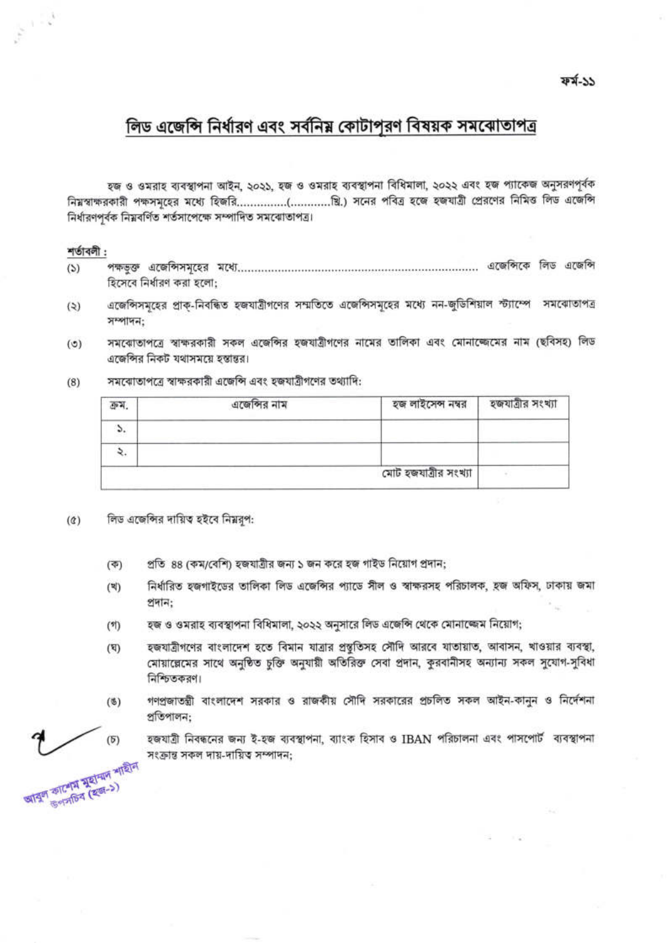ফৰ্ম-১১

# লিড এজেন্সি নির্ধারণ এবং সর্বনিয় কোটাপুরণ বিষয়ক সমঝোতাপত্র

হজ ও ওমরাহ ব্যবস্থাপনা আইন, ২০২১, হজ ও ওমরাহ ব্যবস্থাপনা বিধিমালা, ২০২২ এবং হজ প্যাকেজ অনুসরণপূর্বক নিম্নস্বাক্ষরকারী পক্ষসমূহের মধ্যে হিজরি…………..(………...ৠি.) সনের পবিত্র হজে হজযাত্রী প্রেরণের নিমিত্ত লিড এজেন্সি নিৰ্ধারণপৰ্বক নিয়বৰ্ণিত শৰ্তসাপেক্ষে সম্পাদিত সমঝোতাপত্ৰ।

#### শর্তাবলী:

 $\frac{1}{\sqrt{2}}\left(1-\frac{1}{2}\right)$ 

- $(5)$ হিসেবে নির্ধারণ করা হলো:
- এজেন্সিসমূহের প্রাক-নিবন্ধিত হজযাত্রীগণের সম্মতিতে এজেন্সিসমূহের মধ্যে নন-জুডিশিয়াল স্ট্যাম্পে সমঝোতাপত্র  $(3)$ সম্পাদন:
- সমবোতাপত্রে স্বাক্ষরকারী সকল এজেন্সির হজযাত্রীগণের নামের তালিকা এবং মোনাল্জেমের নাম (ছবিসহ) লিড  $(5)$ এজেন্সির নিকট যথাসময়ে হস্তান্তর।
	- এজেন্সির নাম হজ লাইসেন্স নম্বর হজযাত্ৰীর সংখ্যা ক্ৰম.  $\mathcal{L}$ ۷.
- সমঝোতাপত্রে স্বাক্ষরকারী এজেন্সি এবং হজযাত্রীগণের তথ্যাদি:  $(8)$

- লিড এজেন্সির দায়িত হইবে নিম্নরূপ:  $(\alpha)$ 
	- প্রতি ৪৪ (কম/বেশি) হজযাত্রীর জন্য ১ জন করে হজ গাইড নিয়োগ প্রদান;  $(35)$
	- নির্ধারিত হজগাইডের তালিকা লিড এজেন্সির প্যাডে সীল ও স্বাক্ষরসহ পরিচালক, হজ অফিস, ঢাকায় জমা  $(3)$ প্ৰদান:

মোট হজযাত্ৰীর সংখ্যা

- হজ ও ওমরাহ ব্যবস্থাপনা বিধিমালা, ২০২২ অনুসারে লিড এজেন্সি থেকে মোনাজ্জেম নিয়োগ;  $(9)$
- হজযাত্রীগণের বাংলাদেশ হতে বিমান যাত্রার প্রস্তুতিসহ সৌদি আরবে যাতায়াত, আবাসন, খাওয়ার ব্যবস্থা,  $(\nabla)$ মোয়াল্লেমের সাথে অনুষ্ঠিত চুক্তি অনুযায়ী অতিরিক্ত সেবা প্রদান, কুরবানীসহ অন্যান্য সকল সুযোগ-সুবিধা নিশ্চিতকরণ।
- গণপ্রজাতন্ত্রী বাংলাদেশ সরকার ও রাজকীয় সৌদি সরকারের প্রচলিত সকল আইন-কানুন ও নির্দেশনা  $($ §) প্ৰতিপালন:
	- হজযাত্রী নিবন্ধনের জন্য ই-হজ ব্যবস্থাপনা, ব্যাংক হিসাব ও IBAN পরিচালনা এবং পাসপোর্ট ব্যবস্থাপনা সংক্ৰান্ত সকল দায়-দায়িত্ব সম্পাদন:

 $(5)$ আবুল কাশেম মুহামদ শাহীন

উপসচিব (হজ-১)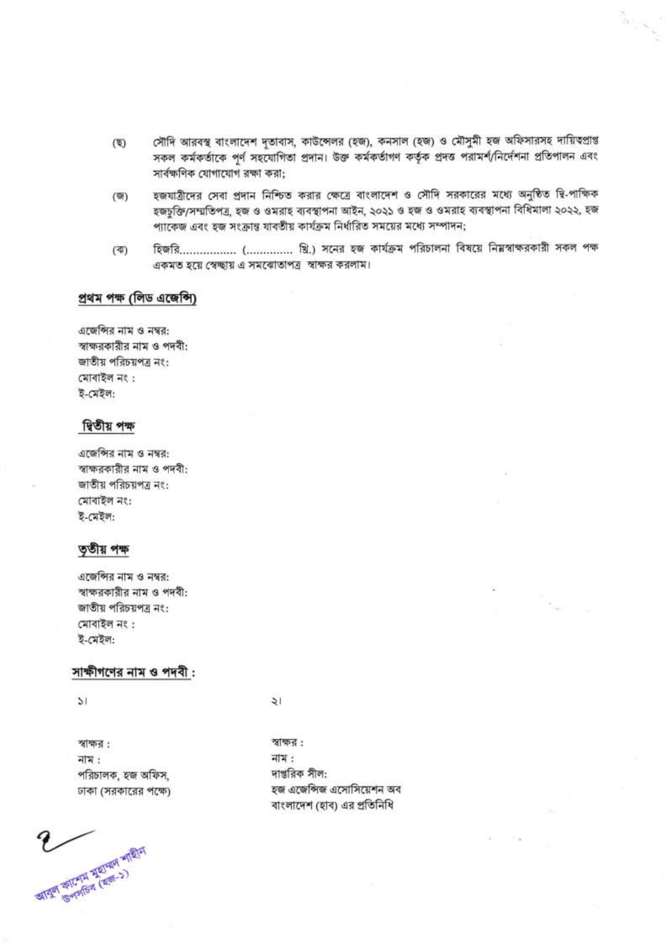- সৌদি আরবস্থ বাংলাদেশ দূতাবাস, কাউন্সেলর (হজ), কনসাল (হজ) ও মৌসুমী হজ অফিসারসহ দায়িতপ্রাপ্ত  $(\nabla)$ সকল কর্মকর্তাকে পূর্ণ সহযোগিতা প্রদান। উক্ত কর্মকর্তাগণ কর্তৃক প্রদত্ত পরামর্শ/নির্দেশনা প্রতিপালন এবং সার্বক্ষণিক যোগাযোগ রক্ষা করা;
- হজযাত্রীদের সেবা প্রদান নিশ্চিত করার ক্ষেত্রে বাংলাদেশ ও সৌদি সরকারের মধ্যে অনুষ্ঠিত দ্বি-পাক্ষিক  $(\mathfrak{G})$ হজচুক্তি/সম্মতিপত্র, হজ ও ওমরাহ ব্যবস্থাপনা আইন, ২০২১ ও হজ ও ওমরাহ ব্যবস্থাপনা বিধিমালা ২০২২, হজ প্যাকেজ এবং হজ সংক্রান্ত যাবতীয় কার্যক্রম নির্ধারিত সময়ের মধ্যে সম্পাদন;
- হিজরি................. (.............. খ্রি.) সনের হজ কার্যক্রম পরিচালনা বিষয়ে নিম্নস্বাক্ষরকারী সকল পক্ষ  $(4)$ একমত হয়ে স্বেচ্ছায় এ সমঝোতাপত্র স্বাক্ষর করলাম।

#### প্ৰথম পক্ষ (লিড এজেন্সি)

এজেন্সির নাম ও নম্বর: স্বাক্ষরকারীর নাম ও পদবী: জাতীয় পরিচয়পত্র নং: মোবাইল নং: ই-মেইল:

#### দ্বিতীয় পক্ষ

এজেন্সির নাম ও নম্বর: স্বাক্ষরকারীর নাম ও পদবী: জাতীয় পরিচয়পত্র নং: মোবাইল নং: ই-মেইল:

#### তৃতীয় পক্ষ

এজেন্সির নাম ও নম্বর: স্বাক্ষরকারীর নাম ও পদবী: জাতীয় পরিচয়পত্র নং: মোবাইল নং: ই-মেইল:

#### সাক্ষীগণের নাম ও পদবী :

 $\mathcal{V}$ 

স্বাক্ষর : নাম : পরিচালক, হজ অফিস, ঢাকা (সরকারের পক্ষে)

आयुर्ण कालिम मेरानाम भारति

 $\frac{1}{2}$ 

স্বাক্ষর: নাম : দাপ্তরিক সীল: হজ এজেন্সিজ এসোসিয়েশন অব বাংলাদেশ (হাব) এর প্রতিনিধি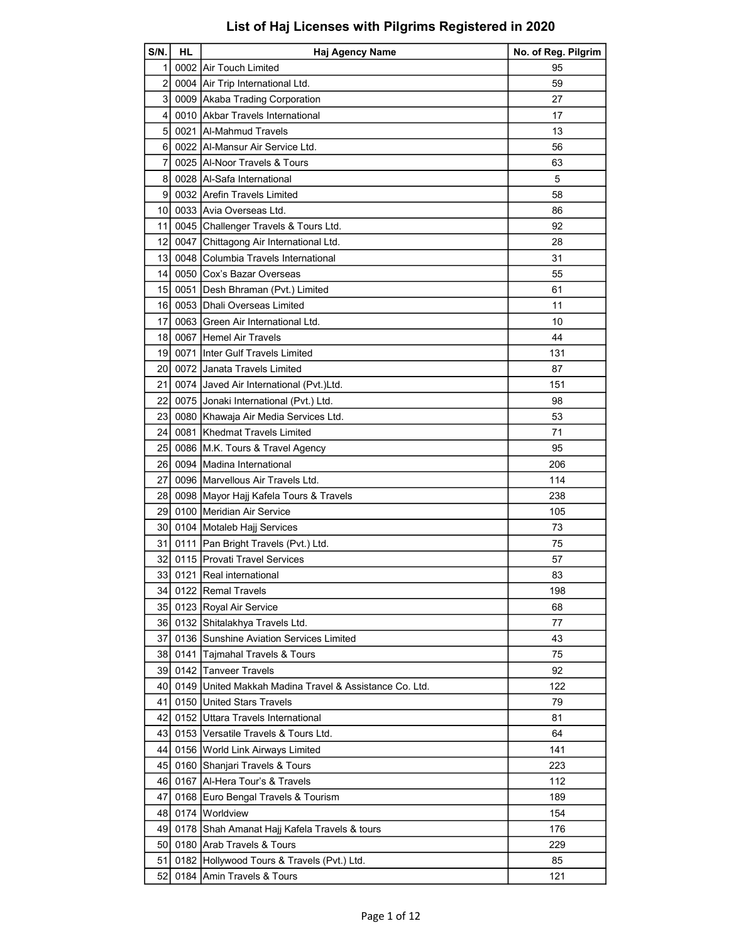| S/N.           | HL. | <b>Haj Agency Name</b>                                                                   | No. of Reg. Pilgrim |
|----------------|-----|------------------------------------------------------------------------------------------|---------------------|
| 11             |     | 0002 Air Touch Limited                                                                   | 95                  |
| $\overline{2}$ |     | 0004 Air Trip International Ltd.                                                         | 59                  |
| 3              |     | 0009 Akaba Trading Corporation                                                           | 27                  |
| 4              |     | 0010 Akbar Travels International                                                         | 17                  |
| 5 <sup>5</sup> |     | 0021 Al-Mahmud Travels                                                                   | 13                  |
| 6              |     | 0022 Al-Mansur Air Service Ltd.                                                          | 56                  |
| 7              |     | 0025 Al-Noor Travels & Tours                                                             | 63                  |
| 8              |     | 0028   Al-Safa International                                                             | 5                   |
| 9              |     | 0032 Arefin Travels Limited                                                              | 58                  |
| 10             |     | 0033 Avia Overseas Ltd.                                                                  | 86                  |
| 11             |     | 0045 Challenger Travels & Tours Ltd.                                                     | 92                  |
| 12             |     | 0047 Chittagong Air International Ltd.                                                   | 28                  |
| 13             |     | 0048 Columbia Travels International                                                      | 31                  |
| 14             |     | 0050 Cox's Bazar Overseas                                                                | 55                  |
| 15             |     | 0051   Desh Bhraman (Pvt.) Limited                                                       | 61                  |
| 16             |     | 0053 Dhali Overseas Limited                                                              | 11                  |
| 17             |     | 0063 Green Air International Ltd.                                                        | 10                  |
| 18             |     | l 0067 İHemel Air Travels                                                                | 44                  |
| 19 I           |     | 0071 Inter Gulf Travels Limited                                                          | 131                 |
| 20             |     | 0072 Janata Travels Limited                                                              | 87                  |
| 21             |     | 0074 Javed Air International (Pvt.)Ltd.                                                  | 151                 |
| 22             |     | 0075 Jonaki International (Pvt.) Ltd.                                                    | 98                  |
| 23             |     | 0080 Khawaja Air Media Services Ltd.                                                     | 53                  |
| 24             |     | 0081 Khedmat Travels Limited                                                             | 71                  |
| 25             |     | 0086 M.K. Tours & Travel Agency                                                          | 95                  |
| 26             |     | 0094 Madina International                                                                | 206                 |
| 27             |     | 0096 Marvellous Air Travels Ltd.                                                         | 114                 |
| 28             |     | 0098 Mayor Hajj Kafela Tours & Travels                                                   | 238                 |
| 29             |     | 0100 Meridian Air Service                                                                | 105                 |
| 30 I           |     | 0104 Motaleb Hajj Services                                                               | 73                  |
| 31             |     | 0111   Pan Bright Travels (Pvt.) Ltd.                                                    | 75                  |
| 32             |     | 0115 Provati Travel Services                                                             | 57                  |
| 33             |     | 0121 Real international                                                                  | 83                  |
| 34             |     | 0122 Remal Travels                                                                       | 198                 |
| 35 I           |     | 0123 Royal Air Service                                                                   | 68                  |
|                |     | 36 0132 Shitalakhya Travels Ltd.                                                         | 77                  |
| 37             |     | 0136 Sunshine Aviation Services Limited                                                  | 43                  |
|                |     | 38 0141 Tajmahal Travels & Tours                                                         | 75                  |
|                |     | 39 0142 Tanveer Travels                                                                  | 92                  |
|                |     |                                                                                          | 122                 |
| 40             |     | 0149   United Makkah Madina Travel & Assistance Co. Ltd.<br>o150 United Stars Travels! J | 79                  |
| 41             |     |                                                                                          |                     |
| 42 I           |     | 0152 Uttara Travels International                                                        | 81                  |
|                |     | 43 0153 Versatile Travels & Tours Ltd.                                                   | 64                  |
| 44             |     | 0156 World Link Airways Limited                                                          | 141                 |
|                |     | 45 0160 Shanjari Travels & Tours                                                         | 223                 |
|                |     | 46 0167 Al-Hera Tour's & Travels                                                         | 112                 |
| 47             |     | 0168 Euro Bengal Travels & Tourism                                                       | 189                 |
|                |     | 48 0174 Worldview                                                                        | 154                 |
| 49             |     | 0178 Shah Amanat Hajj Kafela Travels & tours                                             | 176                 |
|                |     | 50 0180 Arab Travels & Tours                                                             | 229                 |
| 51             |     | 0182 Hollywood Tours & Travels (Pvt.) Ltd.                                               | 85                  |
| 52             |     | 0184 Amin Travels & Tours                                                                | 121                 |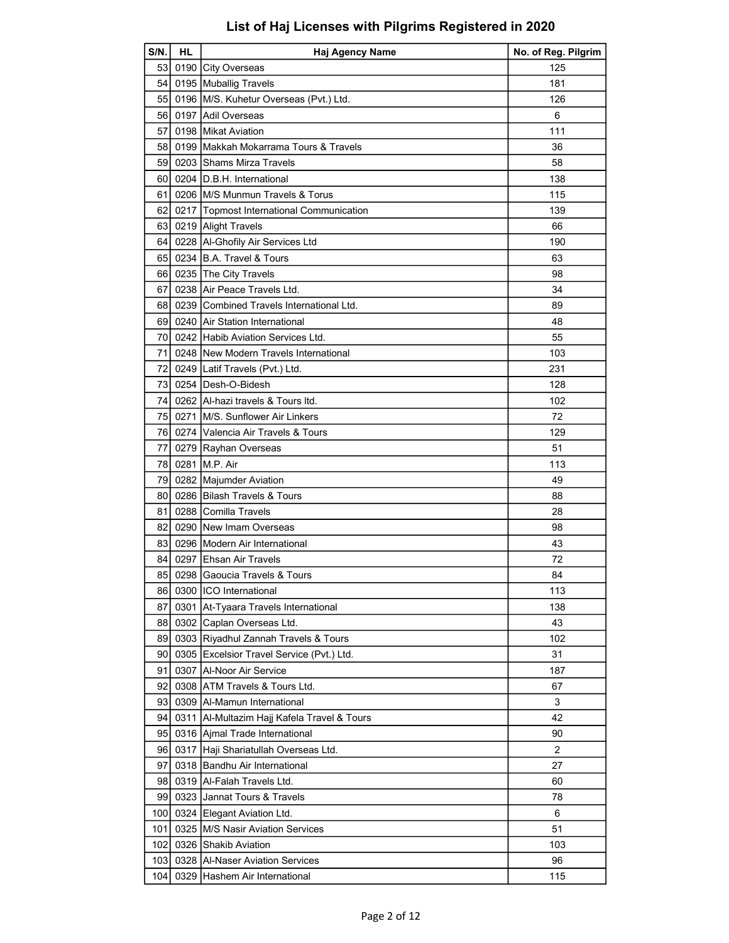| S/N.             | HL. | Haj Agency Name                               | No. of Reg. Pilgrim |
|------------------|-----|-----------------------------------------------|---------------------|
|                  |     | 53 0190 City Overseas                         | 125                 |
|                  |     | 54 0195 Muballig Travels                      | 181                 |
|                  |     | 55 0196 M/S. Kuhetur Overseas (Pvt.) Ltd.     | 126                 |
|                  |     | 56 0197 Adil Overseas                         | 6                   |
| 57               |     | 0198 Mikat Aviation                           | 111                 |
| 58 I             |     | 0199 Makkah Mokarrama Tours & Travels         | 36                  |
| 59               |     | 0203 Shams Mirza Travels                      | 58                  |
| 60 I             |     | 0204 ID.B.H. International                    | 138                 |
| 61               |     | 0206 M/S Munmun Travels & Torus               | 115                 |
| 62               |     | 0217 Topmost International Communication      | 139                 |
|                  |     | 63 0219 Alight Travels                        | 66                  |
|                  |     | 64 0228 Al-Ghofily Air Services Ltd           | 190                 |
|                  |     | 65 0234 B.A. Travel & Tours                   | 63                  |
|                  |     | 66 0235 The City Travels                      | 98                  |
| 67               |     | 0238 Air Peace Travels Ltd.                   | 34                  |
|                  |     | 68 0239 Combined Travels International Ltd.   | 89                  |
|                  |     | 69 0240 Air Station International             | 48                  |
| 70               |     | 0242 Habib Aviation Services Ltd.             | 55                  |
| 71               |     | 0248 New Modern Travels International         | 103                 |
| 72               |     | 0249 Latif Travels (Pvt.) Ltd.                | 231                 |
|                  |     | 73 0254 Desh-O-Bidesh                         | 128                 |
| 74 I             |     | 0262 Al-hazi travels & Tours Itd.             | 102                 |
|                  |     | 75 0271 IM/S. Sunflower Air Linkers           | 72                  |
|                  |     | 76 0274 Valencia Air Travels & Tours          | 129                 |
| 77               |     | 0279 Rayhan Overseas                          | 51                  |
| 78 I             |     | 0281 M.P. Air                                 | 113                 |
| 79               |     | 0282 Majumder Aviation                        | 49                  |
|                  |     | 80 0286 Bilash Travels & Tours                | 88                  |
| 81               |     | 0288 Comilla Travels                          | 28                  |
|                  |     | 82 0290 New Imam Overseas                     | 98                  |
|                  |     | 83 0296 Modern Air International              | 43                  |
|                  |     | 84 0297 Ehsan Air Travels                     | 72                  |
| 85               |     | 0298 Gaoucia Travels & Tours                  | 84                  |
|                  |     | 86 0300 ICO International                     | 113                 |
| 87               |     | 0301 At-Tyaara Travels International          | 138                 |
| 88               |     | 0302 Caplan Overseas Ltd.                     | 43                  |
|                  |     | 89 0303 Riyadhul Zannah Travels & Tours       | 102                 |
| 90 I             |     | 0305 Excelsior Travel Service (Pvt.) Ltd.     | 31                  |
| 91               |     | 0307   Al-Noor Air Service                    | 187                 |
| 92               |     | 0308 ATM Travels & Tours Ltd.                 | 67                  |
|                  |     | 93 0309 Al-Mamun International                | 3                   |
| 94               |     | 0311   Al-Multazim Hajj Kafela Travel & Tours | 42                  |
|                  |     | 95 0316 Ajmal Trade International             | 90                  |
| 96 I             |     | 0317 Haji Shariatullah Overseas Ltd.          | 2                   |
| 97               |     | 0318 Bandhu Air International                 | 27                  |
|                  |     | 98 0319 Al-Falah Travels Ltd.                 | 60                  |
| 991              |     | 0323 Jannat Tours & Travels                   | 78                  |
|                  |     | 100 0324 Elegant Aviation Ltd.                | 6                   |
| 101              |     | 0325 M/S Nasir Aviation Services              | 51                  |
|                  |     | 102 0326 Shakib Aviation                      | 103                 |
| 103 <sub>l</sub> |     | 0328 Al-Naser Aviation Services               | 96                  |
| 104              |     | 0329 Hashem Air International                 | 115                 |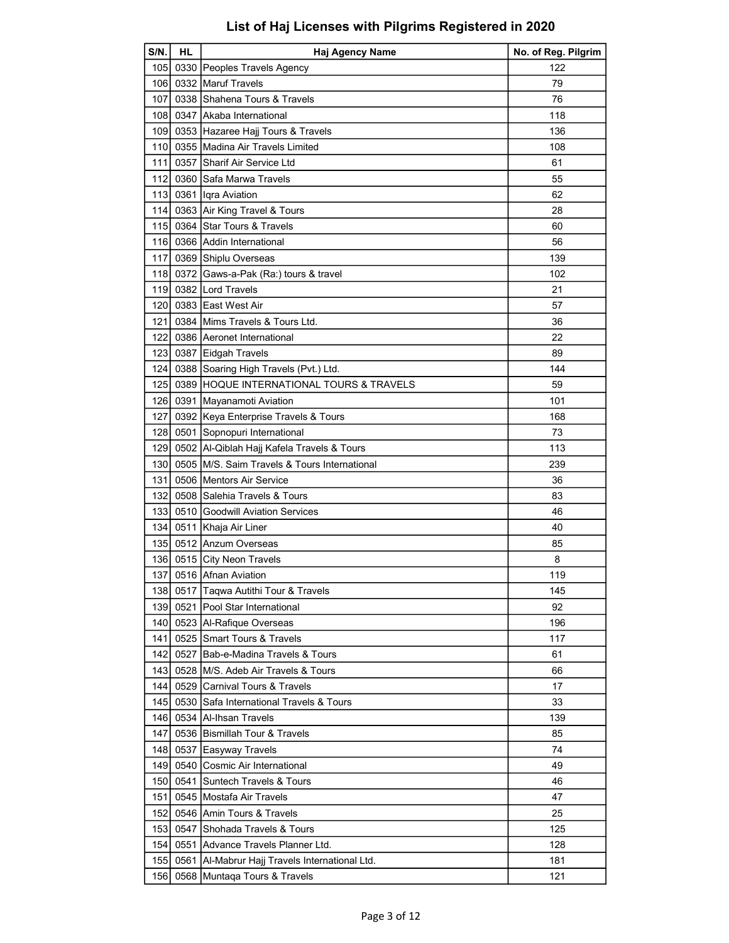| S/N.             | <b>HL</b> | Haj Agency Name                                         | No. of Reg. Pilgrim |
|------------------|-----------|---------------------------------------------------------|---------------------|
| 105I             |           | 0330 Peoples Travels Agency                             | 122                 |
|                  |           | 106 0332 Maruf Travels                                  | 79                  |
| 107 <b>1</b>     |           | 0338 Shahena Tours & Travels                            | 76                  |
| 108              |           | 0347 Akaba International                                | 118                 |
| 109              |           | 0353 Hazaree Hajj Tours & Travels                       | 136                 |
| 110I             |           | 0355 Madina Air Travels Limited                         | 108                 |
| 111l             | 0357      | Sharif Air Service Ltd                                  | 61                  |
| 112 <sup>1</sup> |           | 0360 Safa Marwa Travels                                 | 55                  |
|                  |           | 113 0361 Igra Aviation                                  | 62                  |
| 114 l            |           | 0363 Air King Travel & Tours                            | 28                  |
|                  |           | 115 0364 Star Tours & Travels                           | 60                  |
|                  |           | 116 0366 Addin International                            | 56                  |
| 117              |           | 0369 Shiplu Overseas                                    | 139                 |
| 118              |           | 0372 Gaws-a-Pak (Ra:) tours & travel                    | 102                 |
| 119I             |           | 0382 Lord Travels                                       | 21                  |
|                  |           |                                                         |                     |
| 120 l            |           | 0383 East West Air                                      | 57                  |
| 121              |           | 0384 Mims Travels & Tours Ltd.                          | 36                  |
|                  |           | 122 0386 Aeronet International                          | 22                  |
|                  |           | 123 0387 Eidgah Travels                                 | 89                  |
| 124 l            |           | 0388 Soaring High Travels (Pvt.) Ltd.                   | 144                 |
| 125 <sup>1</sup> |           | 0389 HOQUE INTERNATIONAL TOURS & TRAVELS                | 59                  |
|                  |           | 126 0391 Mayanamoti Aviation                            | 101                 |
| 127              |           | 0392 Keya Enterprise Travels & Tours                    | 168                 |
| 128              |           | 0501 Sopnopuri International                            | 73                  |
| 129 I            |           | 0502   Al-Qiblah Hajj Kafela Travels & Tours            | 113                 |
| 130 <sup>1</sup> |           | 0505 M/S. Saim Travels & Tours International            | 239                 |
| 131              |           | 0506 Mentors Air Service                                | 36                  |
| 132 <sub>l</sub> |           | 0508 Salehia Travels & Tours                            | 83                  |
| 1331             |           | 0510 Goodwill Aviation Services                         | 46                  |
| 1341             |           | 0511 Khaja Air Liner                                    | 40                  |
|                  |           | 135 0512 Anzum Overseas                                 | 85                  |
|                  |           | 136 0515 City Neon Travels                              | 8                   |
|                  |           | 137 0516 Afnan Aviation                                 | 119                 |
| 1381             |           | 0517 Taqwa Autithi Tour & Travels                       | 145                 |
|                  |           | 139 0521 Pool Star International                        | 92                  |
| 140 I            |           | 0523 Al-Rafique Overseas                                | 196                 |
| 141              |           | 0525 Smart Tours & Travels                              | 117                 |
| 1421             |           | 0527 Bab-e-Madina Travels & Tours                       | 61                  |
| 143              |           | 0528 M/S. Adeb Air Travels & Tours                      | 66                  |
| 144              |           | 0529 Carnival Tours & Travels                           | 17                  |
| 145              |           | 0530 Safa International Travels & Tours                 | 33                  |
|                  |           | 146 0534 Al-Ihsan Travels                               | 139                 |
| 1471             |           | 0536 Bismillah Tour & Travels                           | 85                  |
| 148              |           | 0537 Easyway Travels                                    | 74                  |
| 1491             |           | 0540 Cosmic Air International                           | 49                  |
| 150 l            |           | 0541 Suntech Travels & Tours                            | 46                  |
|                  |           |                                                         | 47                  |
| 151<br>152       |           | 0545   Mostafa Air Travels<br>0546 Amin Tours & Travels |                     |
|                  |           |                                                         | 25                  |
| 153 <sup>1</sup> |           | 0547 Shohada Travels & Tours                            | 125                 |
| 154              |           | 0551 Advance Travels Planner Ltd.                       | 128                 |
| 1551             |           | 0561   Al-Mabrur Hajj Travels International Ltd.        | 181                 |
| 156              |           | 0568 Muntaqa Tours & Travels                            | 121                 |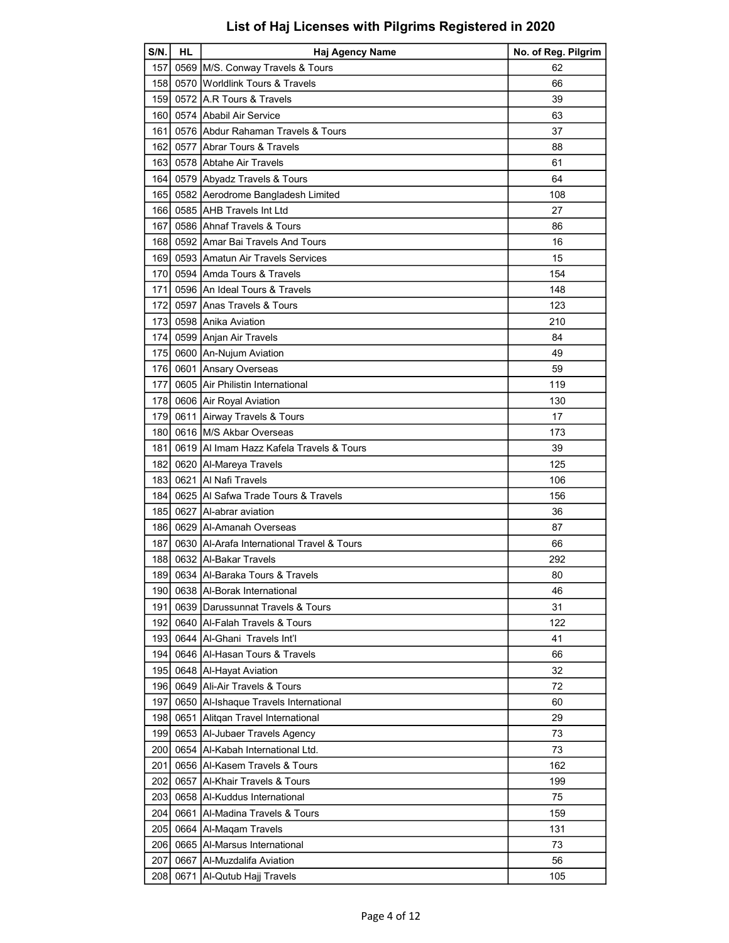| S/N.             | <b>HL</b> | Haj Agency Name                            | No. of Reg. Pilgrim |
|------------------|-----------|--------------------------------------------|---------------------|
| 157              |           | 0569 M/S. Conway Travels & Tours           | 62                  |
| 1581             |           | 0570 Worldlink Tours & Travels             | 66                  |
| 159              |           | 0572 A.R Tours & Travels                   | 39                  |
| 160 <sup>1</sup> |           | 0574 Ababil Air Service                    | 63                  |
| 1611             |           | 0576 Abdur Rahaman Travels & Tours         | 37                  |
| 162 I            |           | 0577 Abrar Tours & Travels                 | 88                  |
| 163              |           | 0578 Abtahe Air Travels                    | 61                  |
| 164 l            |           | 0579 Abyadz Travels & Tours                | 64                  |
| 1651             |           | 0582 Aerodrome Bangladesh Limited          | 108                 |
| 166              |           | 0585 AHB Travels Int Ltd                   | 27                  |
| 167 I            |           | 0586 Ahnaf Travels & Tours                 | 86                  |
| 168              |           | 0592 Amar Bai Travels And Tours            | 16                  |
| 169 l            |           | 0593 Amatun Air Travels Services           | 15                  |
| 170 l            |           | 0594 Amda Tours & Travels                  | 154                 |
| 171              |           | 0596 An Ideal Tours & Travels              | 148                 |
| 172I             |           | 0597 Anas Travels & Tours                  | 123                 |
| 173I             |           | 0598 Anika Aviation                        | 210                 |
| 174 l            |           | 0599 Anjan Air Travels                     | 84                  |
| 175              |           | 0600 An-Nujum Aviation                     | 49                  |
| 176              |           | 0601 Ansary Overseas                       | 59                  |
| 177 l            |           | 0605 Air Philistin International           | 119                 |
| 178              |           | 0606 Air Royal Aviation                    | 130                 |
| 1791             |           | 0611 Airway Travels & Tours                | 17                  |
| 180 I            |           | 0616 M/S Akbar Overseas                    | 173                 |
| 181              |           | 0619 Al Imam Hazz Kafela Travels & Tours   | 39                  |
| 182              |           | 0620 Al-Mareya Travels                     | 125                 |
| 183              |           | 0621 Al Nafi Travels                       | 106                 |
| 184 l            |           | 0625 Al Safwa Trade Tours & Travels        | 156                 |
| 185I             |           | 0627 Al-abrar aviation                     | 36                  |
| 1861             |           | 0629   Al-Amanah Overseas                  | 87                  |
| 187              |           | 0630 Al-Arafa International Travel & Tours | 66                  |
|                  |           | 188 0632 Al-Bakar Travels                  | 292                 |
|                  |           | 189 0634 Al-Baraka Tours & Travels         | 80                  |
| 190              |           | 0638 Al-Borak International                | 46                  |
| 191              |           | 0639 Darussunnat Travels & Tours           | 31                  |
| 1921             |           | 0640 Al-Falah Travels & Tours              | 122                 |
| 193 <sup>1</sup> |           | 0644   Al-Ghani Travels Int'l              | 41                  |
| 194              |           | 0646 Al-Hasan Tours & Travels              | 66                  |
| 195              |           | 0648   Al-Hayat Aviation                   | 32                  |
| 196              |           | 0649 Ali-Air Travels & Tours               | 72                  |
| 197              | 0650      | Al-Ishaque Travels International           | 60                  |
| 198              | 0651      | Alitgan Travel International               | 29                  |
| 1991             |           | 0653 Al-Jubaer Travels Agency              | 73                  |
| 200 l            |           | 0654   Al-Kabah International Ltd.         | 73                  |
| 201              |           | 0656 Al-Kasem Travels & Tours              | 162                 |
| 202              | 0657      | Al-Khair Travels & Tours                   | 199                 |
| 203              |           | 0658 Al-Kuddus International               | 75                  |
| 204              | 0661      | Al-Madina Travels & Tours                  | 159                 |
| 205              |           | 0664   Al-Maqam Travels                    | 131                 |
| 206              |           | 0665   Al-Marsus International             | 73                  |
| 207              |           | 0667   Al-Muzdalifa Aviation               | 56                  |
| 208              |           | 0671   Al-Qutub Hajj Travels               | 105                 |
|                  |           |                                            |                     |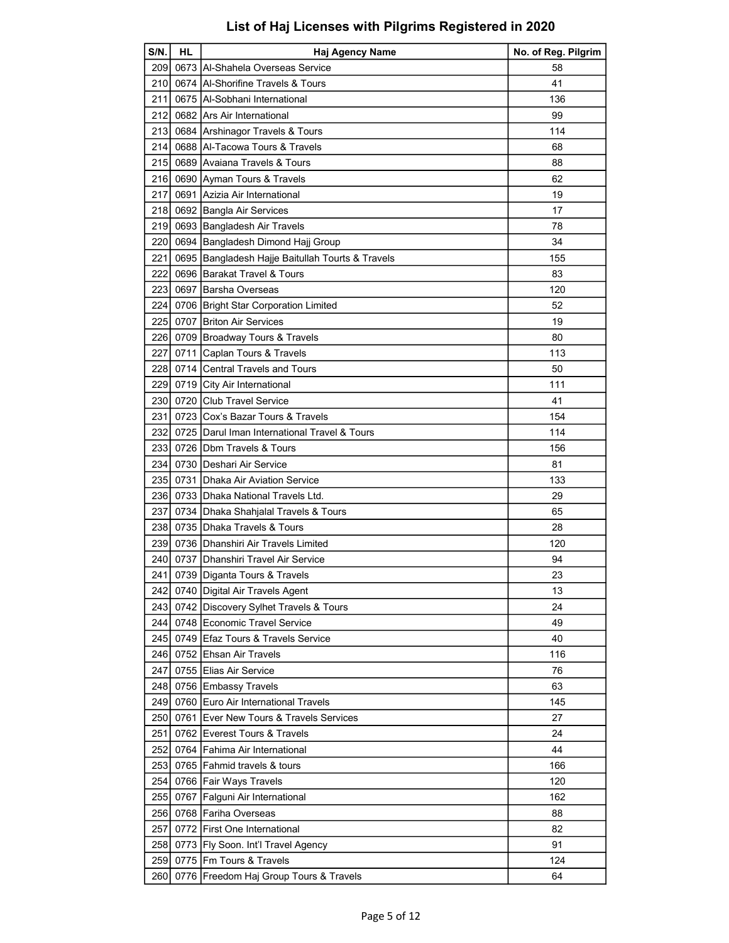| S/N.  | HL | <b>Haj Agency Name</b>                           | No. of Reg. Pilgrim |
|-------|----|--------------------------------------------------|---------------------|
| 209   |    | 0673 Al-Shahela Overseas Service                 | 58                  |
| 210 l |    | 0674 Al-Shorifine Travels & Tours                | 41                  |
| 211   |    | 0675 Al-Sobhani International                    | 136                 |
|       |    | 212 0682 Ars Air International                   | 99                  |
| 213   |    | 0684 Arshinagor Travels & Tours                  | 114                 |
| 214 l |    | 0688 Al-Tacowa Tours & Travels                   | 68                  |
| 215 l |    | 0689 Avaiana Travels & Tours                     | 88                  |
|       |    | 216 0690 Ayman Tours & Travels                   | 62                  |
| 217   |    | 0691 Azizia Air International                    | 19                  |
| 218   |    | 0692 Bangla Air Services                         | 17                  |
| 219   |    | 0693 Bangladesh Air Travels                      | 78                  |
| 220   |    | 0694 Bangladesh Dimond Hajj Group                | 34                  |
| 221   |    | 0695 Bangladesh Hajje Baitullah Tourts & Travels | 155                 |
| 222   |    | 0696 Barakat Travel & Tours                      | 83                  |
| 223 l |    | 0697 Barsha Overseas                             | 120                 |
| 2241  |    | 0706 Bright Star Corporation Limited             | 52                  |
|       |    | 225 0707 Briton Air Services                     | 19                  |
|       |    | 226 0709 Broadway Tours & Travels                | 80                  |
| 227   |    | 0711 Caplan Tours & Travels                      | 113                 |
| 228   |    | 0714 Central Travels and Tours                   | 50                  |
|       |    | 229 0719 City Air International                  | 111                 |
|       |    | 230 0720 Club Travel Service                     | 41                  |
| 231   |    | 0723 Cox's Bazar Tours & Travels                 | 154                 |
|       |    | 232 0725 Darul Iman International Travel & Tours | 114                 |
| 233   |    | 0726   Dbm Travels & Tours                       | 156                 |
|       |    | 234 0730 Deshari Air Service                     | 81                  |
| 235   |    | 0731 Dhaka Air Aviation Service                  | 133                 |
|       |    | 236 0733 Dhaka National Travels Ltd.             | 29                  |
| 237   |    | 0734 Dhaka Shahjalal Travels & Tours             | 65                  |
| 238   |    | 0735 Dhaka Travels & Tours                       | 28                  |
|       |    | 239 0736 Dhanshiri Air Travels Limited           | 120                 |
|       |    | 240 0737 Dhanshiri Travel Air Service            | 94                  |
|       |    | 241 0739 Diganta Tours & Travels                 | 23                  |
| 242   |    | 0740 Digital Air Travels Agent                   | 13                  |
|       |    | 243 0742 Discovery Sylhet Travels & Tours        | 24                  |
| 2441  |    | 0748 Economic Travel Service                     | 49                  |
|       |    | 245 0749 Efaz Tours & Travels Service            | 40                  |
|       |    | 246 0752 Ehsan Air Travels                       | 116                 |
| 247   |    | 0755 Elias Air Service                           | 76                  |
| 248 I |    | 0756 Embassy Travels                             | 63                  |
| 2491  |    | 0760 Euro Air International Travels              | 145                 |
| 250   |    | 0761 Ever New Tours & Travels Services           | 27                  |
| 251   |    | 0762 Everest Tours & Travels                     | 24                  |
| 252   |    | 0764   Fahima Air International                  | 44                  |
|       |    | 253 0765 Fahmid travels & tours                  | 166                 |
| 254   |    | 0766   Fair Ways Travels                         | 120                 |
| 255   |    | 0767   Falguni Air International                 | 162                 |
| 256   |    | 0768 Fariha Overseas                             | 88                  |
| 257   |    | 0772 First One International                     | 82                  |
| 258   |    | 0773   Fly Soon. Int'l Travel Agency             | 91                  |
| 259   |    | 0775 Fm Tours & Travels                          | 124                 |
| 260   |    | 0776 Freedom Haj Group Tours & Travels           | 64                  |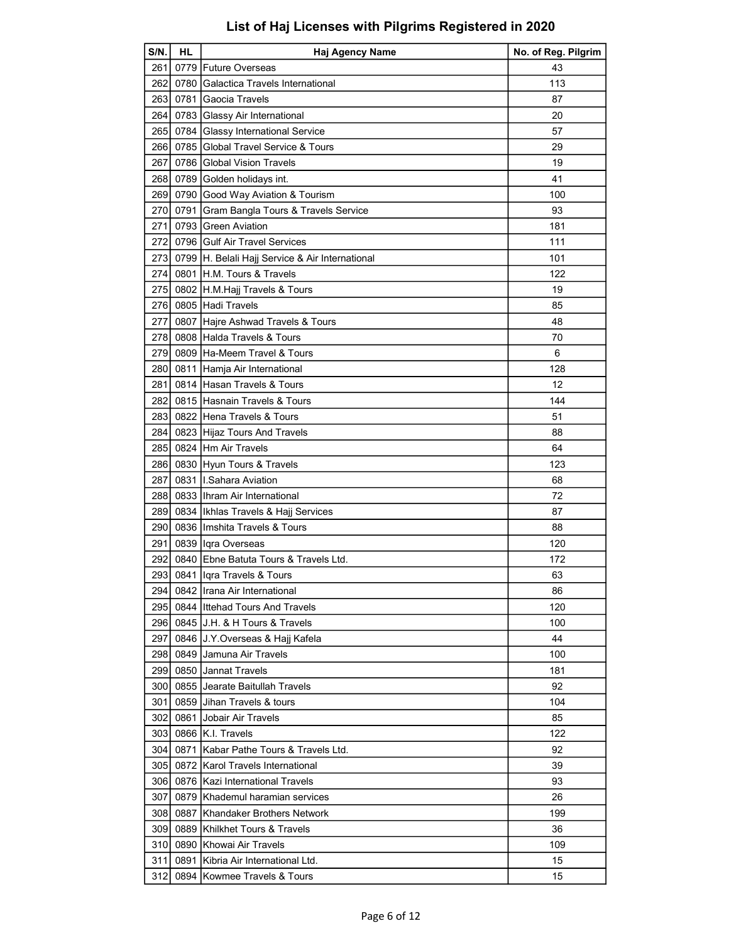| 261<br>0779   Future Overseas<br>43<br>262 l<br>113<br>0780 Galactica Travels International<br>263 0781 Gaocia Travels<br>87<br>0783 Glassy Air International<br>2641<br>20<br>0784 Glassy International Service<br>57<br>265<br>266<br>0785 Global Travel Service & Tours<br>29<br>267<br>0786 Global Vision Travels<br>19<br>268 0789 Golden holidays int.<br>41<br>269<br>0790 Good Way Aviation & Tourism<br>100<br>0791 Gram Bangla Tours & Travels Service<br>270<br>93<br>271<br>0793 Green Aviation<br>181<br>272 0796 Gulf Air Travel Services<br>111<br>2731<br>0799   H. Belali Hajj Service & Air International<br>101 |
|------------------------------------------------------------------------------------------------------------------------------------------------------------------------------------------------------------------------------------------------------------------------------------------------------------------------------------------------------------------------------------------------------------------------------------------------------------------------------------------------------------------------------------------------------------------------------------------------------------------------------------|
|                                                                                                                                                                                                                                                                                                                                                                                                                                                                                                                                                                                                                                    |
|                                                                                                                                                                                                                                                                                                                                                                                                                                                                                                                                                                                                                                    |
|                                                                                                                                                                                                                                                                                                                                                                                                                                                                                                                                                                                                                                    |
|                                                                                                                                                                                                                                                                                                                                                                                                                                                                                                                                                                                                                                    |
|                                                                                                                                                                                                                                                                                                                                                                                                                                                                                                                                                                                                                                    |
|                                                                                                                                                                                                                                                                                                                                                                                                                                                                                                                                                                                                                                    |
|                                                                                                                                                                                                                                                                                                                                                                                                                                                                                                                                                                                                                                    |
|                                                                                                                                                                                                                                                                                                                                                                                                                                                                                                                                                                                                                                    |
|                                                                                                                                                                                                                                                                                                                                                                                                                                                                                                                                                                                                                                    |
|                                                                                                                                                                                                                                                                                                                                                                                                                                                                                                                                                                                                                                    |
|                                                                                                                                                                                                                                                                                                                                                                                                                                                                                                                                                                                                                                    |
|                                                                                                                                                                                                                                                                                                                                                                                                                                                                                                                                                                                                                                    |
|                                                                                                                                                                                                                                                                                                                                                                                                                                                                                                                                                                                                                                    |
| 274<br>0801 H.M. Tours & Travels<br>122                                                                                                                                                                                                                                                                                                                                                                                                                                                                                                                                                                                            |
| 0802 H.M.Hajj Travels & Tours<br>275I<br>19                                                                                                                                                                                                                                                                                                                                                                                                                                                                                                                                                                                        |
| 276 0805 Hadi Travels<br>85                                                                                                                                                                                                                                                                                                                                                                                                                                                                                                                                                                                                        |
| 277<br>0807 Hajre Ashwad Travels & Tours<br>48                                                                                                                                                                                                                                                                                                                                                                                                                                                                                                                                                                                     |
| 0808 Halda Travels & Tours<br>278<br>70                                                                                                                                                                                                                                                                                                                                                                                                                                                                                                                                                                                            |
| 0809 Ha-Meem Travel & Tours<br>279<br>6                                                                                                                                                                                                                                                                                                                                                                                                                                                                                                                                                                                            |
| 128<br>280 I<br>0811 Hamja Air International                                                                                                                                                                                                                                                                                                                                                                                                                                                                                                                                                                                       |
| 0814 Hasan Travels & Tours<br>281<br>12                                                                                                                                                                                                                                                                                                                                                                                                                                                                                                                                                                                            |
| 282<br>0815 Hasnain Travels & Tours<br>144                                                                                                                                                                                                                                                                                                                                                                                                                                                                                                                                                                                         |
| 283 0822 Hena Travels & Tours<br>51                                                                                                                                                                                                                                                                                                                                                                                                                                                                                                                                                                                                |
| 0823 Hijaz Tours And Travels<br>2841<br>88                                                                                                                                                                                                                                                                                                                                                                                                                                                                                                                                                                                         |
| 285<br>0824 Hm Air Travels<br>64                                                                                                                                                                                                                                                                                                                                                                                                                                                                                                                                                                                                   |
| 286<br>0830 Hyun Tours & Travels<br>123                                                                                                                                                                                                                                                                                                                                                                                                                                                                                                                                                                                            |
| 0831 II.Sahara Aviation<br>287<br>68                                                                                                                                                                                                                                                                                                                                                                                                                                                                                                                                                                                               |
| 0833 Ihram Air International<br>72<br>2881                                                                                                                                                                                                                                                                                                                                                                                                                                                                                                                                                                                         |
| 2891<br>0834  Ikhlas Travels & Hajj Services<br>87                                                                                                                                                                                                                                                                                                                                                                                                                                                                                                                                                                                 |
| 0836 Ilmshita Travels & Tours<br>290<br>88                                                                                                                                                                                                                                                                                                                                                                                                                                                                                                                                                                                         |
| 291 0839 Igra Overseas<br>120                                                                                                                                                                                                                                                                                                                                                                                                                                                                                                                                                                                                      |
| 0840 Ebne Batuta Tours & Travels Ltd.<br>2921<br>172                                                                                                                                                                                                                                                                                                                                                                                                                                                                                                                                                                               |
| 293 0841 Iqra Travels & Tours<br>63                                                                                                                                                                                                                                                                                                                                                                                                                                                                                                                                                                                                |
| 294<br>0842 Ilrana Air International<br>86                                                                                                                                                                                                                                                                                                                                                                                                                                                                                                                                                                                         |
| 0844 Ittehad Tours And Travels<br>120<br>295 I                                                                                                                                                                                                                                                                                                                                                                                                                                                                                                                                                                                     |
| 0845 J.H. & H Tours & Travels<br>2961<br>100                                                                                                                                                                                                                                                                                                                                                                                                                                                                                                                                                                                       |
| 297<br>0846 J.Y.Overseas & Hajj Kafela<br>44                                                                                                                                                                                                                                                                                                                                                                                                                                                                                                                                                                                       |
| 298<br>0849 IJamuna Air Travels<br>100                                                                                                                                                                                                                                                                                                                                                                                                                                                                                                                                                                                             |
| 0850 Jannat Travels<br>299<br>181                                                                                                                                                                                                                                                                                                                                                                                                                                                                                                                                                                                                  |
| 0855 Jearate Baitullah Travels<br>92<br>300                                                                                                                                                                                                                                                                                                                                                                                                                                                                                                                                                                                        |
| 301<br>0859 IJihan Travels & tours<br>104                                                                                                                                                                                                                                                                                                                                                                                                                                                                                                                                                                                          |
| 0861 Jobair Air Travels<br>302<br>85                                                                                                                                                                                                                                                                                                                                                                                                                                                                                                                                                                                               |
| 122<br>3031<br>0866 K.I. Travels                                                                                                                                                                                                                                                                                                                                                                                                                                                                                                                                                                                                   |
| 0871 Kabar Pathe Tours & Travels Ltd.<br>304 l<br>92                                                                                                                                                                                                                                                                                                                                                                                                                                                                                                                                                                               |
| 0872 Karol Travels International<br>305 l<br>39                                                                                                                                                                                                                                                                                                                                                                                                                                                                                                                                                                                    |
| 306<br>0876 Kazi International Travels<br>93                                                                                                                                                                                                                                                                                                                                                                                                                                                                                                                                                                                       |
| 307<br>0879 Khademul haramian services<br>26                                                                                                                                                                                                                                                                                                                                                                                                                                                                                                                                                                                       |
| 308<br>0887 Khandaker Brothers Network<br>199                                                                                                                                                                                                                                                                                                                                                                                                                                                                                                                                                                                      |
| 309<br>0889 Khilkhet Tours & Travels<br>36                                                                                                                                                                                                                                                                                                                                                                                                                                                                                                                                                                                         |
| 0890 Khowai Air Travels<br>310<br>109                                                                                                                                                                                                                                                                                                                                                                                                                                                                                                                                                                                              |
| 311<br>0891 Kibria Air International Ltd.<br>15                                                                                                                                                                                                                                                                                                                                                                                                                                                                                                                                                                                    |
| 312<br>0894 Kowmee Travels & Tours<br>15                                                                                                                                                                                                                                                                                                                                                                                                                                                                                                                                                                                           |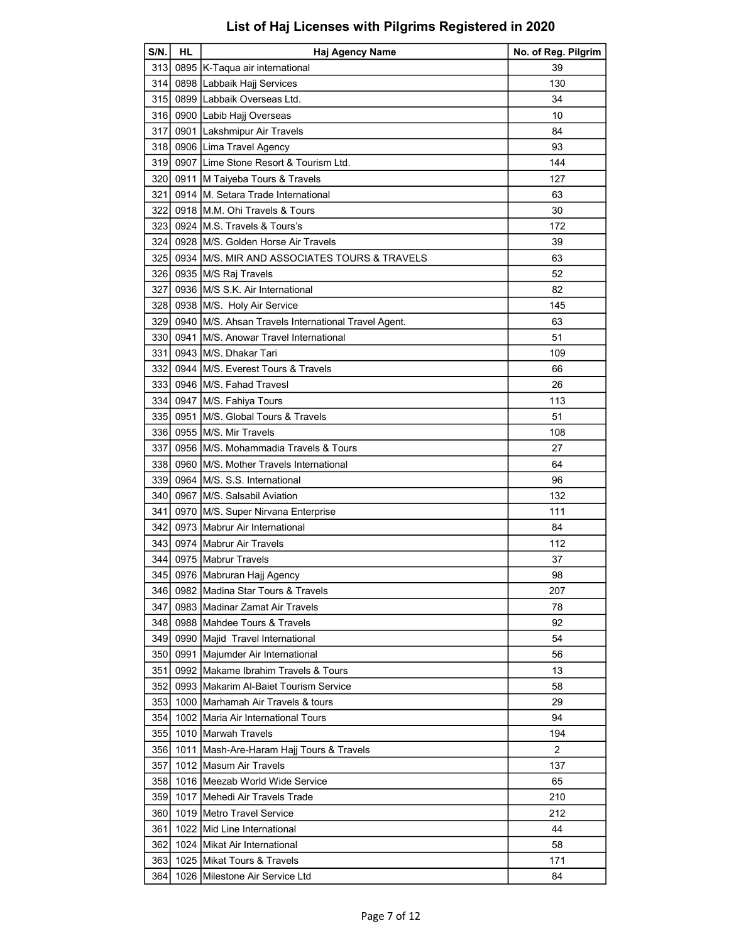| S/N.             | <b>HL</b> | <b>Haj Agency Name</b>                              | No. of Reg. Pilgrim |
|------------------|-----------|-----------------------------------------------------|---------------------|
| 313              |           | 0895 K-Taqua air international                      | 39                  |
| 314I             |           | 0898 Labbaik Hajj Services                          | 130                 |
| 315              |           | 0899 Labbaik Overseas Ltd.                          | 34                  |
| 316              |           | 0900 Labib Hajj Overseas                            | 10                  |
| 317              |           | 0901 Lakshmipur Air Travels                         | 84                  |
| 318              |           | 0906 Lima Travel Agency                             | 93                  |
| 319 I            |           | 0907 Lime Stone Resort & Tourism Ltd.               | 144                 |
| 320 l            |           | 0911 M Taiyeba Tours & Travels                      | 127                 |
| 321              |           | 0914 M. Setara Trade International                  | 63                  |
| 322              |           | 0918 M.M. Ohi Travels & Tours                       | 30                  |
| 323              |           | 0924 M.S. Travels & Tours's                         | 172                 |
| 324 l            |           | 0928 M/S. Golden Horse Air Travels                  | 39                  |
| 325              |           | 0934 M/S. MIR AND ASSOCIATES TOURS & TRAVELS        | 63                  |
| 3261             |           | 0935 M/S Raj Travels                                | 52                  |
| 327 l            |           | 0936 IM/S S.K. Air International                    | 82                  |
| 328 I            |           | 0938 M/S. Holy Air Service                          | 145                 |
| 329              |           | 0940 M/S. Ahsan Travels International Travel Agent. | 63                  |
| 330 <sub>1</sub> |           | 0941 M/S. Anowar Travel International               | 51                  |
| 331              |           | 0943 M/S. Dhakar Tari                               | 109                 |
| 332              |           | 0944 IM/S. Everest Tours & Travels                  | 66                  |
| 333              |           | 0946 M/S. Fahad Travesl                             | 26                  |
| 334              |           | 0947   M/S. Fahiya Tours                            | 113                 |
| 335              |           | 0951 M/S. Global Tours & Travels                    | 51                  |
| 336              |           | 0955 M/S. Mir Travels                               | 108                 |
| 337              |           | 0956 M/S. Mohammadia Travels & Tours                | 27                  |
| 338              |           | 0960 M/S. Mother Travels International              | 64                  |
| 339              |           | 0964 M/S. S.S. International                        | 96                  |
| 340              |           | 0967 M/S. Salsabil Aviation                         | 132                 |
| 341 I            |           | 0970 M/S. Super Nirvana Enterprise                  | 111                 |
| 342 l            |           | 0973 Mabrur Air International                       | 84                  |
| 343              |           | 0974 Mabrur Air Travels                             | 112                 |
| 344 I            |           | 0975 Mabrur Travels                                 | 37                  |
|                  |           | 345 0976 Mabruran Hajj Agency                       | 98                  |
| 346              |           | 0982 Madina Star Tours & Travels                    | 207                 |
| 347 I            |           | 0983 Madinar Zamat Air Travels                      | 78                  |
| 348 I            |           | 0988 Mahdee Tours & Travels                         | 92                  |
| 349              |           | 0990 Majid Travel International                     | 54                  |
| 350 l            |           | 0991   Majumder Air International                   | 56                  |
| 351 I            | 0992      | <b>IMakame Ibrahim Travels &amp; Tours</b>          | 13                  |
| 352              |           | 0993 Makarim Al-Baiet Tourism Service               | 58                  |
| 353              |           | 1000 Marhamah Air Travels & tours                   | 29                  |
| 354              |           | 1002 Maria Air International Tours                  | 94                  |
| 355 l            |           | 1010 Marwah Travels                                 | 194                 |
| 356 I            |           | 1011   Mash-Are-Haram Hajj Tours & Travels          | 2                   |
| 357              |           | 1012 Masum Air Travels                              | 137                 |
| 358              |           | 1016   Meezab World Wide Service                    | 65                  |
| 359 l            |           | 1017 IMehedi Air Travels Trade                      | 210                 |
| 360 l            |           | 1019 Metro Travel Service                           | 212                 |
| 361              |           | 1022 Mid Line International                         | 44                  |
| 362 I            |           | 1024 Mikat Air International                        | 58                  |
| 363              |           | 1025 Mikat Tours & Travels                          | 171                 |
|                  |           |                                                     |                     |
| 364              |           | 1026 Milestone Air Service Ltd                      | 84                  |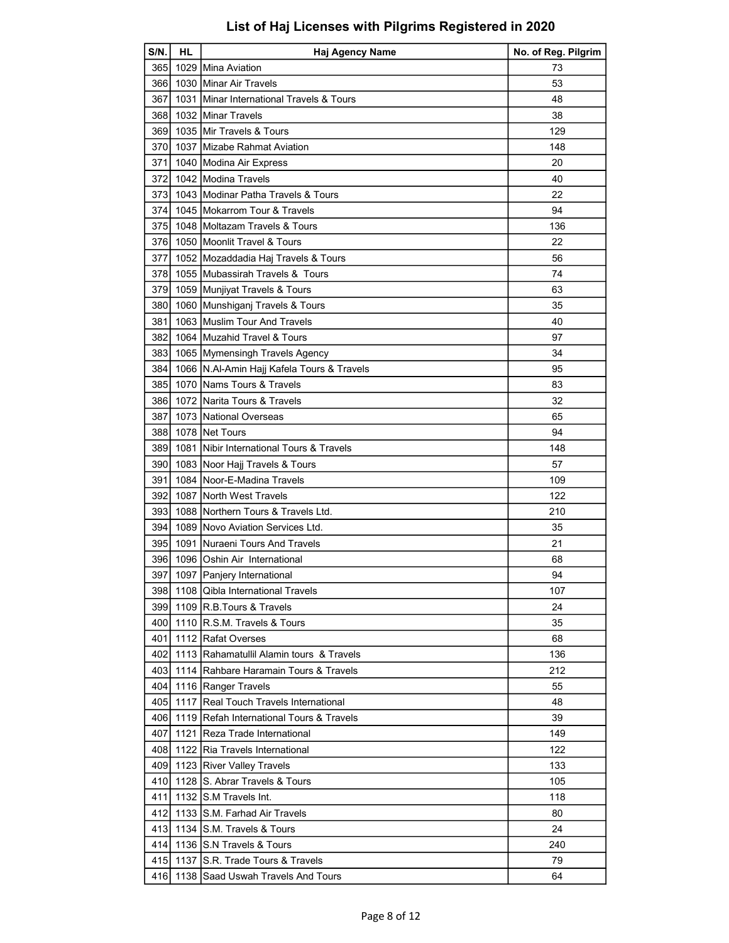| $S/N$ .          | <b>HL</b> | Haj Agency Name                              | No. of Reg. Pilgrim |
|------------------|-----------|----------------------------------------------|---------------------|
| 365I             |           | 1029 Mina Aviation                           | 73                  |
| 366I             |           | 1030 Minar Air Travels                       | 53                  |
| 367              |           | 1031 Minar International Travels & Tours     | 48                  |
| 3681             |           | 1032 Minar Travels                           | 38                  |
| 369              |           | 1035 Mir Travels & Tours                     | 129                 |
| 370I             |           | 1037 IMizabe Rahmat Aviation                 | 148                 |
| 371              |           | 1040 Modina Air Express                      | 20                  |
| 372              |           | 1042 Modina Travels                          | 40                  |
| 373              |           | 1043 Modinar Patha Travels & Tours           | 22                  |
| 374              |           | 1045 Mokarrom Tour & Travels                 | 94                  |
| 375              |           | 1048 Moltazam Travels & Tours                | 136                 |
|                  |           | 376 1050 Moonlit Travel & Tours              | 22                  |
| 377              |           | 1052 Mozaddadia Haj Travels & Tours          | 56                  |
| 378              |           | 1055 Mubassirah Travels & Tours              | 74                  |
| 3791             |           | 1059 Munjiyat Travels & Tours                | 63                  |
| 380              |           | 1060 Munshiganj Travels & Tours              | 35                  |
|                  |           |                                              |                     |
| 381              |           | 1063 Muslim Tour And Travels                 | 40                  |
| 382I             |           | 1064 Muzahid Travel & Tours                  | 97                  |
| 383              |           | 1065 Mymensingh Travels Agency               | 34                  |
| 384              |           | 1066   N.AI-Amin Hajj Kafela Tours & Travels | 95                  |
| 385              |           | 1070 INams Tours & Travels                   | 83                  |
| 3861             |           | 1072 Narita Tours & Travels                  | 32                  |
| 387              |           | 1073 National Overseas                       | 65                  |
| 3881             |           | 1078   Net Tours                             | 94                  |
| 389              | 1081      | Nibir International Tours & Travels          | 148                 |
| 390 <sub>1</sub> |           | 1083 Noor Hajj Travels & Tours               | 57                  |
| 391              |           | 1084 Noor-E-Madina Travels                   | 109                 |
| 392              |           | 1087 North West Travels                      | 122                 |
| 3931             |           | 1088 Northern Tours & Travels Ltd.           | 210                 |
| 394              |           | 1089 INovo Aviation Services Ltd.            | 35                  |
|                  |           | 395 1091 Nuraeni Tours And Travels           | 21                  |
|                  |           | 396 1096 Oshin Air International             | 68                  |
|                  |           | 397 1097 Panjery International               | 94                  |
| 398              |           | 1108 Qibla International Travels             | 107                 |
| 399 l            |           | 1109 R.B.Tours & Travels                     | 24                  |
| 4001             |           | 1110 R.S.M. Travels & Tours                  | 35                  |
| 401              |           | 1112 Rafat Overses                           | 68                  |
| 402              |           | 1113 Rahamatullil Alamin tours & Travels     | 136                 |
| 403              |           | 1114 Rahbare Haramain Tours & Travels        | 212                 |
| 4041             |           | 1116 Ranger Travels                          | 55                  |
| 405              |           | 1117 Real Touch Travels International        | 48                  |
| 406 I            |           | 1119 Refah International Tours & Travels     | 39                  |
| 407              | 1121      | <b>IReza Trade International</b>             | 149                 |
| 408              |           | 1122 Ria Travels International               | 122                 |
| 4091             |           | 1123   River Valley Travels                  | 133                 |
| 410              |           | 1128 S. Abrar Travels & Tours                | 105                 |
| 411              |           | 1132 IS.M Travels Int.                       | 118                 |
| 412              |           | 1133 S.M. Farhad Air Travels                 | 80                  |
| 4131             |           | 1134 S.M. Travels & Tours                    | 24                  |
| 414              |           | 1136 S.N Travels & Tours                     |                     |
|                  |           |                                              | 240                 |
| 415              |           | 1137 IS.R. Trade Tours & Travels             | 79                  |
| 416              |           | 1138 Saad Uswah Travels And Tours            | 64                  |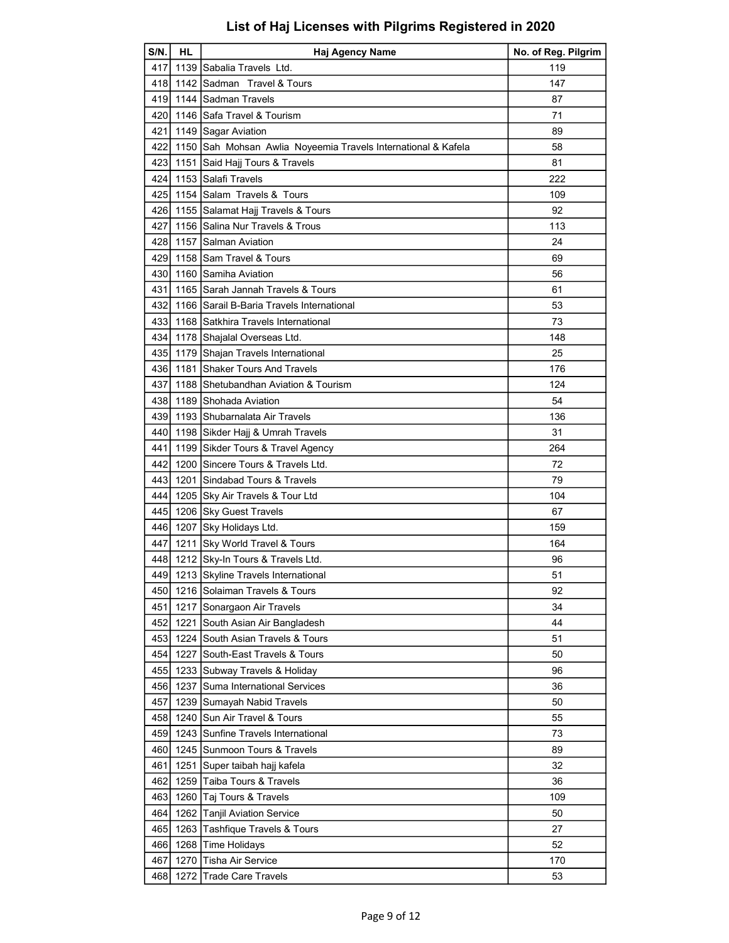| 1139 Sabalia Travels Ltd.<br>119<br>417<br>418 1142 Sadman Travel & Tours<br>147<br>419   1144   Sadman Travels<br>87<br>420 1146 Safa Travel & Tourism<br>71<br>421   1149   Sagar Aviation<br>89<br>422<br>1150 Sah Mohsan Awlia Noyeemia Travels International & Kafela<br>58<br>423 1151 Said Hajj Tours & Travels<br>81<br>l 1153  Salafi Travels<br>424<br>222<br>425 1154 Salam Travels & Tours<br>109<br>426 1155 Salamat Hajj Travels & Tours<br>92<br>427<br>1156 Salina Nur Travels & Trous<br>113<br>428 1157 Salman Aviation<br>24<br>1158 Sam Travel & Tours<br>429<br>69<br>430 1160 Samiha Aviation<br>56<br>431<br>1165 Sarah Jannah Travels & Tours<br>61<br>432<br>1166 Sarail B-Baria Travels International<br>53<br>433 1168 Satkhira Travels International<br>73<br>434 1178 Shajalal Overseas Ltd.<br>148<br>435 1179 Shajan Travels International<br>25<br>436 1181 Shaker Tours And Travels<br>176<br>1188 Shetubandhan Aviation & Tourism<br>124<br>437<br>1189 Shohada Aviation<br>438<br>54<br>439   1193 Shubarnalata Air Travels<br>136<br>440I<br>1198 Sikder Hajj & Umrah Travels<br>31<br>1199 Sikder Tours & Travel Agency<br>264<br>441<br>442 1200 Sincere Tours & Travels Ltd.<br>72<br>443<br>1201 Sindabad Tours & Travels<br>79<br>4441<br>1205 Sky Air Travels & Tour Ltd<br>104<br>445<br>1206 Sky Guest Travels<br>67<br>446 1207 Sky Holidays Ltd.<br>159<br>447<br>1211 Sky World Travel & Tours<br>164<br>448 1212 Sky-In Tours & Travels Ltd.<br>96<br>449 1213 Skyline Travels International<br>51<br>450<br>1216 Solaiman Travels & Tours<br>92<br>451<br>1217 Sonargaon Air Travels<br>34<br>1221 South Asian Air Bangladesh<br>44<br>452<br>1224 South Asian Travels & Tours<br>453<br>51<br>454<br>1227 South-East Travels & Tours<br>50<br>455<br>96<br>1233 Subway Travels & Holiday<br>1237 Suma International Services<br>36<br>456<br>1239 Sumayah Nabid Travels<br>457<br>50<br>1240 Sun Air Travel & Tours<br>458<br>55<br>1243 Sunfine Travels International<br>459<br>73<br>1245 Sunmoon Tours & Travels<br>460<br>89<br>1251 Super taibah hajj kafela<br>461<br>32<br>Taiba Tours & Travels<br>462<br>1259<br>36 | S/N. | HL | Haj Agency Name | No. of Reg. Pilgrim |
|--------------------------------------------------------------------------------------------------------------------------------------------------------------------------------------------------------------------------------------------------------------------------------------------------------------------------------------------------------------------------------------------------------------------------------------------------------------------------------------------------------------------------------------------------------------------------------------------------------------------------------------------------------------------------------------------------------------------------------------------------------------------------------------------------------------------------------------------------------------------------------------------------------------------------------------------------------------------------------------------------------------------------------------------------------------------------------------------------------------------------------------------------------------------------------------------------------------------------------------------------------------------------------------------------------------------------------------------------------------------------------------------------------------------------------------------------------------------------------------------------------------------------------------------------------------------------------------------------------------------------------------------------------------------------------------------------------------------------------------------------------------------------------------------------------------------------------------------------------------------------------------------------------------------------------------------------------------------------------------------------------------------------------------------------------------------------------------------------------------------------------------------------------------------------------|------|----|-----------------|---------------------|
|                                                                                                                                                                                                                                                                                                                                                                                                                                                                                                                                                                                                                                                                                                                                                                                                                                                                                                                                                                                                                                                                                                                                                                                                                                                                                                                                                                                                                                                                                                                                                                                                                                                                                                                                                                                                                                                                                                                                                                                                                                                                                                                                                                                |      |    |                 |                     |
|                                                                                                                                                                                                                                                                                                                                                                                                                                                                                                                                                                                                                                                                                                                                                                                                                                                                                                                                                                                                                                                                                                                                                                                                                                                                                                                                                                                                                                                                                                                                                                                                                                                                                                                                                                                                                                                                                                                                                                                                                                                                                                                                                                                |      |    |                 |                     |
|                                                                                                                                                                                                                                                                                                                                                                                                                                                                                                                                                                                                                                                                                                                                                                                                                                                                                                                                                                                                                                                                                                                                                                                                                                                                                                                                                                                                                                                                                                                                                                                                                                                                                                                                                                                                                                                                                                                                                                                                                                                                                                                                                                                |      |    |                 |                     |
|                                                                                                                                                                                                                                                                                                                                                                                                                                                                                                                                                                                                                                                                                                                                                                                                                                                                                                                                                                                                                                                                                                                                                                                                                                                                                                                                                                                                                                                                                                                                                                                                                                                                                                                                                                                                                                                                                                                                                                                                                                                                                                                                                                                |      |    |                 |                     |
|                                                                                                                                                                                                                                                                                                                                                                                                                                                                                                                                                                                                                                                                                                                                                                                                                                                                                                                                                                                                                                                                                                                                                                                                                                                                                                                                                                                                                                                                                                                                                                                                                                                                                                                                                                                                                                                                                                                                                                                                                                                                                                                                                                                |      |    |                 |                     |
|                                                                                                                                                                                                                                                                                                                                                                                                                                                                                                                                                                                                                                                                                                                                                                                                                                                                                                                                                                                                                                                                                                                                                                                                                                                                                                                                                                                                                                                                                                                                                                                                                                                                                                                                                                                                                                                                                                                                                                                                                                                                                                                                                                                |      |    |                 |                     |
|                                                                                                                                                                                                                                                                                                                                                                                                                                                                                                                                                                                                                                                                                                                                                                                                                                                                                                                                                                                                                                                                                                                                                                                                                                                                                                                                                                                                                                                                                                                                                                                                                                                                                                                                                                                                                                                                                                                                                                                                                                                                                                                                                                                |      |    |                 |                     |
|                                                                                                                                                                                                                                                                                                                                                                                                                                                                                                                                                                                                                                                                                                                                                                                                                                                                                                                                                                                                                                                                                                                                                                                                                                                                                                                                                                                                                                                                                                                                                                                                                                                                                                                                                                                                                                                                                                                                                                                                                                                                                                                                                                                |      |    |                 |                     |
|                                                                                                                                                                                                                                                                                                                                                                                                                                                                                                                                                                                                                                                                                                                                                                                                                                                                                                                                                                                                                                                                                                                                                                                                                                                                                                                                                                                                                                                                                                                                                                                                                                                                                                                                                                                                                                                                                                                                                                                                                                                                                                                                                                                |      |    |                 |                     |
|                                                                                                                                                                                                                                                                                                                                                                                                                                                                                                                                                                                                                                                                                                                                                                                                                                                                                                                                                                                                                                                                                                                                                                                                                                                                                                                                                                                                                                                                                                                                                                                                                                                                                                                                                                                                                                                                                                                                                                                                                                                                                                                                                                                |      |    |                 |                     |
|                                                                                                                                                                                                                                                                                                                                                                                                                                                                                                                                                                                                                                                                                                                                                                                                                                                                                                                                                                                                                                                                                                                                                                                                                                                                                                                                                                                                                                                                                                                                                                                                                                                                                                                                                                                                                                                                                                                                                                                                                                                                                                                                                                                |      |    |                 |                     |
|                                                                                                                                                                                                                                                                                                                                                                                                                                                                                                                                                                                                                                                                                                                                                                                                                                                                                                                                                                                                                                                                                                                                                                                                                                                                                                                                                                                                                                                                                                                                                                                                                                                                                                                                                                                                                                                                                                                                                                                                                                                                                                                                                                                |      |    |                 |                     |
|                                                                                                                                                                                                                                                                                                                                                                                                                                                                                                                                                                                                                                                                                                                                                                                                                                                                                                                                                                                                                                                                                                                                                                                                                                                                                                                                                                                                                                                                                                                                                                                                                                                                                                                                                                                                                                                                                                                                                                                                                                                                                                                                                                                |      |    |                 |                     |
|                                                                                                                                                                                                                                                                                                                                                                                                                                                                                                                                                                                                                                                                                                                                                                                                                                                                                                                                                                                                                                                                                                                                                                                                                                                                                                                                                                                                                                                                                                                                                                                                                                                                                                                                                                                                                                                                                                                                                                                                                                                                                                                                                                                |      |    |                 |                     |
|                                                                                                                                                                                                                                                                                                                                                                                                                                                                                                                                                                                                                                                                                                                                                                                                                                                                                                                                                                                                                                                                                                                                                                                                                                                                                                                                                                                                                                                                                                                                                                                                                                                                                                                                                                                                                                                                                                                                                                                                                                                                                                                                                                                |      |    |                 |                     |
|                                                                                                                                                                                                                                                                                                                                                                                                                                                                                                                                                                                                                                                                                                                                                                                                                                                                                                                                                                                                                                                                                                                                                                                                                                                                                                                                                                                                                                                                                                                                                                                                                                                                                                                                                                                                                                                                                                                                                                                                                                                                                                                                                                                |      |    |                 |                     |
|                                                                                                                                                                                                                                                                                                                                                                                                                                                                                                                                                                                                                                                                                                                                                                                                                                                                                                                                                                                                                                                                                                                                                                                                                                                                                                                                                                                                                                                                                                                                                                                                                                                                                                                                                                                                                                                                                                                                                                                                                                                                                                                                                                                |      |    |                 |                     |
|                                                                                                                                                                                                                                                                                                                                                                                                                                                                                                                                                                                                                                                                                                                                                                                                                                                                                                                                                                                                                                                                                                                                                                                                                                                                                                                                                                                                                                                                                                                                                                                                                                                                                                                                                                                                                                                                                                                                                                                                                                                                                                                                                                                |      |    |                 |                     |
|                                                                                                                                                                                                                                                                                                                                                                                                                                                                                                                                                                                                                                                                                                                                                                                                                                                                                                                                                                                                                                                                                                                                                                                                                                                                                                                                                                                                                                                                                                                                                                                                                                                                                                                                                                                                                                                                                                                                                                                                                                                                                                                                                                                |      |    |                 |                     |
|                                                                                                                                                                                                                                                                                                                                                                                                                                                                                                                                                                                                                                                                                                                                                                                                                                                                                                                                                                                                                                                                                                                                                                                                                                                                                                                                                                                                                                                                                                                                                                                                                                                                                                                                                                                                                                                                                                                                                                                                                                                                                                                                                                                |      |    |                 |                     |
|                                                                                                                                                                                                                                                                                                                                                                                                                                                                                                                                                                                                                                                                                                                                                                                                                                                                                                                                                                                                                                                                                                                                                                                                                                                                                                                                                                                                                                                                                                                                                                                                                                                                                                                                                                                                                                                                                                                                                                                                                                                                                                                                                                                |      |    |                 |                     |
|                                                                                                                                                                                                                                                                                                                                                                                                                                                                                                                                                                                                                                                                                                                                                                                                                                                                                                                                                                                                                                                                                                                                                                                                                                                                                                                                                                                                                                                                                                                                                                                                                                                                                                                                                                                                                                                                                                                                                                                                                                                                                                                                                                                |      |    |                 |                     |
|                                                                                                                                                                                                                                                                                                                                                                                                                                                                                                                                                                                                                                                                                                                                                                                                                                                                                                                                                                                                                                                                                                                                                                                                                                                                                                                                                                                                                                                                                                                                                                                                                                                                                                                                                                                                                                                                                                                                                                                                                                                                                                                                                                                |      |    |                 |                     |
|                                                                                                                                                                                                                                                                                                                                                                                                                                                                                                                                                                                                                                                                                                                                                                                                                                                                                                                                                                                                                                                                                                                                                                                                                                                                                                                                                                                                                                                                                                                                                                                                                                                                                                                                                                                                                                                                                                                                                                                                                                                                                                                                                                                |      |    |                 |                     |
|                                                                                                                                                                                                                                                                                                                                                                                                                                                                                                                                                                                                                                                                                                                                                                                                                                                                                                                                                                                                                                                                                                                                                                                                                                                                                                                                                                                                                                                                                                                                                                                                                                                                                                                                                                                                                                                                                                                                                                                                                                                                                                                                                                                |      |    |                 |                     |
|                                                                                                                                                                                                                                                                                                                                                                                                                                                                                                                                                                                                                                                                                                                                                                                                                                                                                                                                                                                                                                                                                                                                                                                                                                                                                                                                                                                                                                                                                                                                                                                                                                                                                                                                                                                                                                                                                                                                                                                                                                                                                                                                                                                |      |    |                 |                     |
|                                                                                                                                                                                                                                                                                                                                                                                                                                                                                                                                                                                                                                                                                                                                                                                                                                                                                                                                                                                                                                                                                                                                                                                                                                                                                                                                                                                                                                                                                                                                                                                                                                                                                                                                                                                                                                                                                                                                                                                                                                                                                                                                                                                |      |    |                 |                     |
|                                                                                                                                                                                                                                                                                                                                                                                                                                                                                                                                                                                                                                                                                                                                                                                                                                                                                                                                                                                                                                                                                                                                                                                                                                                                                                                                                                                                                                                                                                                                                                                                                                                                                                                                                                                                                                                                                                                                                                                                                                                                                                                                                                                |      |    |                 |                     |
|                                                                                                                                                                                                                                                                                                                                                                                                                                                                                                                                                                                                                                                                                                                                                                                                                                                                                                                                                                                                                                                                                                                                                                                                                                                                                                                                                                                                                                                                                                                                                                                                                                                                                                                                                                                                                                                                                                                                                                                                                                                                                                                                                                                |      |    |                 |                     |
|                                                                                                                                                                                                                                                                                                                                                                                                                                                                                                                                                                                                                                                                                                                                                                                                                                                                                                                                                                                                                                                                                                                                                                                                                                                                                                                                                                                                                                                                                                                                                                                                                                                                                                                                                                                                                                                                                                                                                                                                                                                                                                                                                                                |      |    |                 |                     |
|                                                                                                                                                                                                                                                                                                                                                                                                                                                                                                                                                                                                                                                                                                                                                                                                                                                                                                                                                                                                                                                                                                                                                                                                                                                                                                                                                                                                                                                                                                                                                                                                                                                                                                                                                                                                                                                                                                                                                                                                                                                                                                                                                                                |      |    |                 |                     |
|                                                                                                                                                                                                                                                                                                                                                                                                                                                                                                                                                                                                                                                                                                                                                                                                                                                                                                                                                                                                                                                                                                                                                                                                                                                                                                                                                                                                                                                                                                                                                                                                                                                                                                                                                                                                                                                                                                                                                                                                                                                                                                                                                                                |      |    |                 |                     |
|                                                                                                                                                                                                                                                                                                                                                                                                                                                                                                                                                                                                                                                                                                                                                                                                                                                                                                                                                                                                                                                                                                                                                                                                                                                                                                                                                                                                                                                                                                                                                                                                                                                                                                                                                                                                                                                                                                                                                                                                                                                                                                                                                                                |      |    |                 |                     |
|                                                                                                                                                                                                                                                                                                                                                                                                                                                                                                                                                                                                                                                                                                                                                                                                                                                                                                                                                                                                                                                                                                                                                                                                                                                                                                                                                                                                                                                                                                                                                                                                                                                                                                                                                                                                                                                                                                                                                                                                                                                                                                                                                                                |      |    |                 |                     |
|                                                                                                                                                                                                                                                                                                                                                                                                                                                                                                                                                                                                                                                                                                                                                                                                                                                                                                                                                                                                                                                                                                                                                                                                                                                                                                                                                                                                                                                                                                                                                                                                                                                                                                                                                                                                                                                                                                                                                                                                                                                                                                                                                                                |      |    |                 |                     |
|                                                                                                                                                                                                                                                                                                                                                                                                                                                                                                                                                                                                                                                                                                                                                                                                                                                                                                                                                                                                                                                                                                                                                                                                                                                                                                                                                                                                                                                                                                                                                                                                                                                                                                                                                                                                                                                                                                                                                                                                                                                                                                                                                                                |      |    |                 |                     |
|                                                                                                                                                                                                                                                                                                                                                                                                                                                                                                                                                                                                                                                                                                                                                                                                                                                                                                                                                                                                                                                                                                                                                                                                                                                                                                                                                                                                                                                                                                                                                                                                                                                                                                                                                                                                                                                                                                                                                                                                                                                                                                                                                                                |      |    |                 |                     |
|                                                                                                                                                                                                                                                                                                                                                                                                                                                                                                                                                                                                                                                                                                                                                                                                                                                                                                                                                                                                                                                                                                                                                                                                                                                                                                                                                                                                                                                                                                                                                                                                                                                                                                                                                                                                                                                                                                                                                                                                                                                                                                                                                                                |      |    |                 |                     |
|                                                                                                                                                                                                                                                                                                                                                                                                                                                                                                                                                                                                                                                                                                                                                                                                                                                                                                                                                                                                                                                                                                                                                                                                                                                                                                                                                                                                                                                                                                                                                                                                                                                                                                                                                                                                                                                                                                                                                                                                                                                                                                                                                                                |      |    |                 |                     |
|                                                                                                                                                                                                                                                                                                                                                                                                                                                                                                                                                                                                                                                                                                                                                                                                                                                                                                                                                                                                                                                                                                                                                                                                                                                                                                                                                                                                                                                                                                                                                                                                                                                                                                                                                                                                                                                                                                                                                                                                                                                                                                                                                                                |      |    |                 |                     |
|                                                                                                                                                                                                                                                                                                                                                                                                                                                                                                                                                                                                                                                                                                                                                                                                                                                                                                                                                                                                                                                                                                                                                                                                                                                                                                                                                                                                                                                                                                                                                                                                                                                                                                                                                                                                                                                                                                                                                                                                                                                                                                                                                                                |      |    |                 |                     |
|                                                                                                                                                                                                                                                                                                                                                                                                                                                                                                                                                                                                                                                                                                                                                                                                                                                                                                                                                                                                                                                                                                                                                                                                                                                                                                                                                                                                                                                                                                                                                                                                                                                                                                                                                                                                                                                                                                                                                                                                                                                                                                                                                                                |      |    |                 |                     |
|                                                                                                                                                                                                                                                                                                                                                                                                                                                                                                                                                                                                                                                                                                                                                                                                                                                                                                                                                                                                                                                                                                                                                                                                                                                                                                                                                                                                                                                                                                                                                                                                                                                                                                                                                                                                                                                                                                                                                                                                                                                                                                                                                                                |      |    |                 |                     |
|                                                                                                                                                                                                                                                                                                                                                                                                                                                                                                                                                                                                                                                                                                                                                                                                                                                                                                                                                                                                                                                                                                                                                                                                                                                                                                                                                                                                                                                                                                                                                                                                                                                                                                                                                                                                                                                                                                                                                                                                                                                                                                                                                                                |      |    |                 |                     |
|                                                                                                                                                                                                                                                                                                                                                                                                                                                                                                                                                                                                                                                                                                                                                                                                                                                                                                                                                                                                                                                                                                                                                                                                                                                                                                                                                                                                                                                                                                                                                                                                                                                                                                                                                                                                                                                                                                                                                                                                                                                                                                                                                                                |      |    |                 |                     |
|                                                                                                                                                                                                                                                                                                                                                                                                                                                                                                                                                                                                                                                                                                                                                                                                                                                                                                                                                                                                                                                                                                                                                                                                                                                                                                                                                                                                                                                                                                                                                                                                                                                                                                                                                                                                                                                                                                                                                                                                                                                                                                                                                                                |      |    |                 |                     |
| 463<br>1260 Taj Tours & Travels<br>109                                                                                                                                                                                                                                                                                                                                                                                                                                                                                                                                                                                                                                                                                                                                                                                                                                                                                                                                                                                                                                                                                                                                                                                                                                                                                                                                                                                                                                                                                                                                                                                                                                                                                                                                                                                                                                                                                                                                                                                                                                                                                                                                         |      |    |                 |                     |
| 1262 Tanjil Aviation Service<br>50<br>464                                                                                                                                                                                                                                                                                                                                                                                                                                                                                                                                                                                                                                                                                                                                                                                                                                                                                                                                                                                                                                                                                                                                                                                                                                                                                                                                                                                                                                                                                                                                                                                                                                                                                                                                                                                                                                                                                                                                                                                                                                                                                                                                      |      |    |                 |                     |
| 465<br>1263 Tashfique Travels & Tours<br>27                                                                                                                                                                                                                                                                                                                                                                                                                                                                                                                                                                                                                                                                                                                                                                                                                                                                                                                                                                                                                                                                                                                                                                                                                                                                                                                                                                                                                                                                                                                                                                                                                                                                                                                                                                                                                                                                                                                                                                                                                                                                                                                                    |      |    |                 |                     |
| 1268 Time Holidays<br>52<br>466                                                                                                                                                                                                                                                                                                                                                                                                                                                                                                                                                                                                                                                                                                                                                                                                                                                                                                                                                                                                                                                                                                                                                                                                                                                                                                                                                                                                                                                                                                                                                                                                                                                                                                                                                                                                                                                                                                                                                                                                                                                                                                                                                |      |    |                 |                     |
| <b>Tisha Air Service</b><br>467<br>1270<br>170                                                                                                                                                                                                                                                                                                                                                                                                                                                                                                                                                                                                                                                                                                                                                                                                                                                                                                                                                                                                                                                                                                                                                                                                                                                                                                                                                                                                                                                                                                                                                                                                                                                                                                                                                                                                                                                                                                                                                                                                                                                                                                                                 |      |    |                 |                     |
| 1272 Trade Care Travels<br>53<br>468                                                                                                                                                                                                                                                                                                                                                                                                                                                                                                                                                                                                                                                                                                                                                                                                                                                                                                                                                                                                                                                                                                                                                                                                                                                                                                                                                                                                                                                                                                                                                                                                                                                                                                                                                                                                                                                                                                                                                                                                                                                                                                                                           |      |    |                 |                     |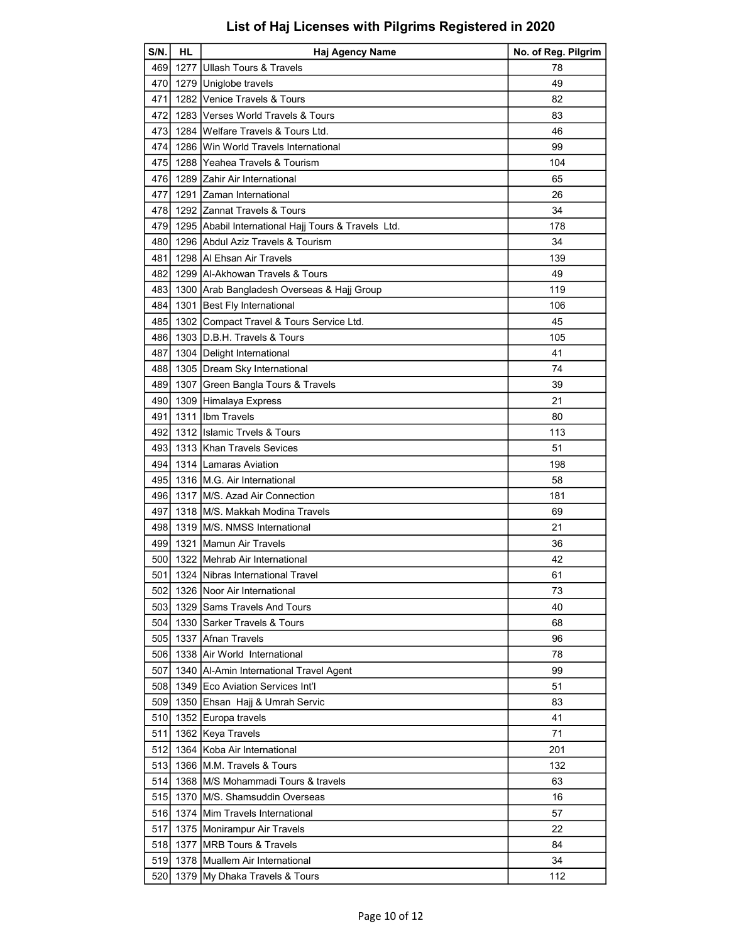| $S/N$ .          | <b>HL</b> | Haj Agency Name                                     | No. of Reg. Pilgrim |
|------------------|-----------|-----------------------------------------------------|---------------------|
| 469              | 1277      | <b>Ullash Tours &amp; Travels</b>                   | 78                  |
| 470 l            |           | 1279 Uniglobe travels                               | 49                  |
| 471              |           | 1282 Venice Travels & Tours                         | 82                  |
| 472I             |           | 1283 Verses World Travels & Tours                   | 83                  |
| 473              |           | 1284 Welfare Travels & Tours Ltd.                   | 46                  |
| 474              |           | 1286 IWin World Travels International               | 99                  |
| 475              |           | 1288 Yeahea Travels & Tourism                       | 104                 |
| 476              |           | 1289 Zahir Air International                        | 65                  |
| 477              |           | 1291 Zaman International                            | 26                  |
| 478              |           | 1292 Zannat Travels & Tours                         | 34                  |
| 479 l            |           | 1295 Ababil International Hajj Tours & Travels Ltd. | 178                 |
| 480              |           | 1296 Abdul Aziz Travels & Tourism                   | 34                  |
| 481              |           | 1298 Al Ehsan Air Travels                           | 139                 |
| 482              |           | 1299 IAI-Akhowan Travels & Tours                    | 49                  |
| 4831             |           | 1300 Arab Bangladesh Overseas & Hajj Group          | 119                 |
| 484              | 1301      | Best Fly International                              | 106                 |
| 4851             |           | 1302 Compact Travel & Tours Service Ltd.            | 45                  |
| 486              |           | 1303 D.B.H. Travels & Tours                         | 105                 |
| 487              |           | 1304 Delight International                          | 41                  |
| 488              |           | 1305   Dream Sky International                      | 74                  |
| 489              | 1307      | Green Bangla Tours & Travels                        | 39                  |
| 490              |           | 1309 Himalaya Express                               | 21                  |
| 491              |           | 1311 Ilbm Travels                                   | 80                  |
| 492              |           | 1312 Ilslamic Trvels & Tours                        | 113                 |
| 4931             |           | 1313 Khan Travels Sevices                           | 51                  |
| 4941             |           | 1314 Lamaras Aviation                               | 198                 |
| 495              |           | 1316   M.G. Air International                       | 58                  |
| 4961             |           | 1317 IM/S. Azad Air Connection                      | 181                 |
| 497              |           | 1318 IM/S. Makkah Modina Travels                    | 69                  |
| 498 I            |           | 1319 IM/S. NMSS International                       | 21                  |
| 4991             |           | 1321 Mamun Air Travels                              | 36                  |
| 500              |           | 1322 Mehrab Air International                       | 42                  |
| 501 l            |           | 1324 Nibras International Travel                    | 61                  |
| 502              |           | 1326 Noor Air International                         | 73                  |
| 503              |           | 1329 Sams Travels And Tours                         | 40                  |
| 504              |           | 1330 Sarker Travels & Tours                         | 68                  |
| 505              |           | 1337 Afnan Travels                                  | 96                  |
| 506              |           | 1338 Air World International                        | 78                  |
| 507              | 1340      | Al-Amin International Travel Agent                  | 99                  |
| 5081             |           | 1349 Eco Aviation Services Int'l                    | 51                  |
| 509              |           | 1350 Ehsan Hajj & Umrah Servic                      | 83                  |
| 510 <sub>I</sub> |           | 1352 Europa travels                                 | 41                  |
| 511              |           | 1362 Keya Travels                                   | 71                  |
| 512              |           | 1364 Koba Air International                         | 201                 |
| 513              |           | 1366 M.M. Travels & Tours                           | 132                 |
| 514              |           | 1368 M/S Mohammadi Tours & travels                  | 63                  |
| 515              | 1370      | <b>IM/S. Shamsuddin Overseas</b>                    | 16                  |
| 516              |           | 1374 Mim Travels International                      | 57                  |
| 517              |           | 1375   Monirampur Air Travels                       | 22                  |
| 518              |           | 1377 MRB Tours & Travels                            | 84                  |
| 519              |           | 1378 Muallem Air International                      | 34                  |
| 520              |           | 1379 My Dhaka Travels & Tours                       | 112                 |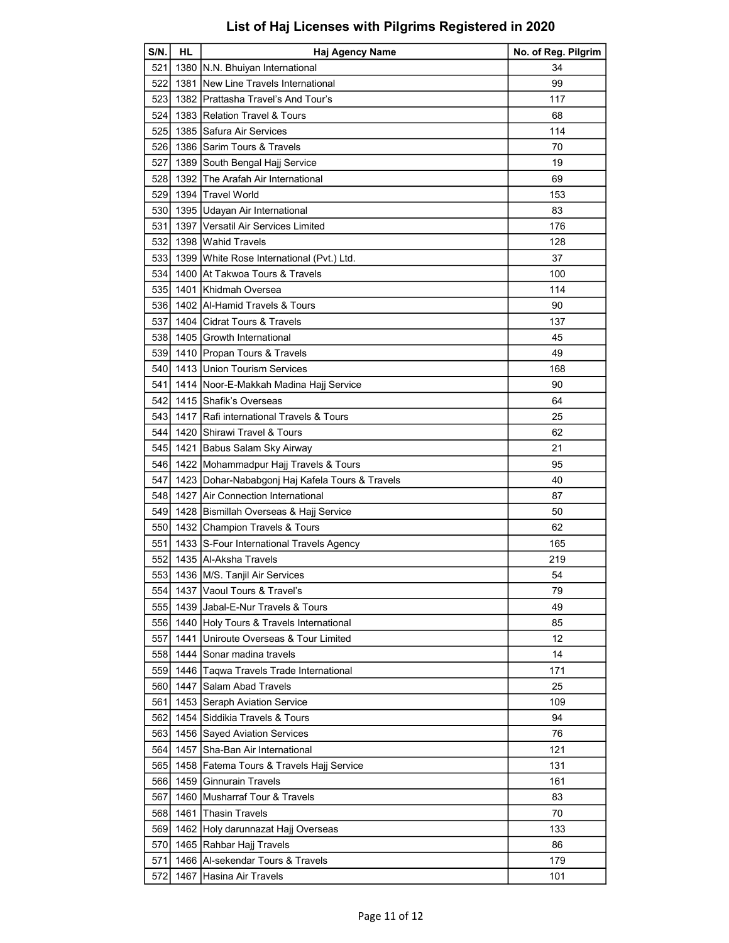| S/N.       | HL   | Haj Agency Name                                                                  | No. of Reg. Pilgrim |
|------------|------|----------------------------------------------------------------------------------|---------------------|
| 521        |      | 1380   N.N. Bhuiyan International                                                | 34                  |
| 522        |      | 1381 New Line Travels International                                              | 99                  |
| 523        |      | 1382 IPrattasha Travel's And Tour's                                              | 117                 |
| 524        |      | 1383 Relation Travel & Tours                                                     | 68                  |
| 525        |      | 1385 Safura Air Services                                                         | 114                 |
|            |      | 526 1386 Sarim Tours & Travels                                                   | 70                  |
| 527        |      | 1389 South Bengal Hajj Service                                                   | 19                  |
| 528        |      | 1392 The Arafah Air International                                                | 69                  |
| 529        |      | 1394 Travel World                                                                | 153                 |
| 530        |      | 1395 Udayan Air International                                                    | 83                  |
| 531        |      | 1397 Versatil Air Services Limited                                               | 176                 |
| 532        |      | 1398 Wahid Travels                                                               | 128                 |
| 533        |      | 1399 White Rose International (Pvt.) Ltd.                                        | 37                  |
| 534        |      | 1400 At Takwoa Tours & Travels                                                   | 100                 |
| 535        | 1401 | Khidmah Oversea                                                                  | 114                 |
| 536        |      | 1402   Al-Hamid Travels & Tours                                                  | 90                  |
| 537        |      | 1404 Cidrat Tours & Travels                                                      | 137                 |
|            |      | 538 1405 Growth International                                                    | 45                  |
| 539        |      | 1410 Propan Tours & Travels                                                      | 49                  |
| 540 l      |      | 1413 Union Tourism Services                                                      | 168                 |
| 541        |      | 1414   Noor-E-Makkah Madina Hajj Service                                         | 90                  |
| 542        |      | 1415 Shafik's Overseas                                                           | 64                  |
| 5431       |      | 1417   Rafi international Travels & Tours                                        | 25                  |
| 544        |      | 1420 Shirawi Travel & Tours                                                      | 62                  |
| 5451       |      | 1421 Babus Salam Sky Airway                                                      | 21                  |
| 546        |      | 1422 Mohammadpur Hajj Travels & Tours                                            | 95                  |
| 547        |      | 1423 Dohar-Nababgonj Haj Kafela Tours & Travels                                  | 40                  |
| 548        |      | 1427 Air Connection International                                                | 87                  |
| 549        |      | 1428 Bismillah Overseas & Hajj Service                                           | 50                  |
| 550        |      | 1432 Champion Travels & Tours                                                    | 62                  |
| 551        |      | 1433 S-Four International Travels Agency                                         | 165                 |
|            |      | 552 1435 Al-Aksha Travels                                                        | 219                 |
|            |      | 553 1436 M/S. Tanjil Air Services                                                | 54                  |
| 554        |      | 1437 Vaoul Tours & Travel's                                                      | 79                  |
| 555        |      | 1439 Jabal-E-Nur Travels & Tours                                                 | 49                  |
|            |      |                                                                                  | 85                  |
| 556<br>557 |      | 1440 Holy Tours & Travels International<br>1441 Uniroute Overseas & Tour Limited | 12                  |
|            |      | 1444 Sonar madina travels                                                        |                     |
| 558        |      |                                                                                  | 14                  |
| 5591       |      | 1446 Taqwa Travels Trade International                                           | 171                 |
| 560        | 1447 | ISalam Abad Travels                                                              | 25                  |
| 561        |      | 1453 Seraph Aviation Service                                                     | 109                 |
| 562        |      | 1454 Siddikia Travels & Tours                                                    | 94                  |
| 5631       |      | 1456 Sayed Aviation Services                                                     | 76                  |
| 564        | 1457 | Sha-Ban Air International                                                        | 121                 |
| 5651       |      | 1458 Fatema Tours & Travels Hajj Service                                         | 131                 |
| 5661       |      | 1459 Ginnurain Travels                                                           | 161                 |
| 567        |      | 1460 Musharraf Tour & Travels                                                    | 83                  |
| 568        | 1461 | <b>Thasin Travels</b>                                                            | 70                  |
| 569        |      | 1462 Holy darunnazat Hajj Overseas                                               | 133                 |
| 570I       |      | 1465   Rahbar Hajj Travels                                                       | 86                  |
| 571        |      | 1466   Al-sekendar Tours & Travels                                               | 179                 |
| 572        | 1467 | Hasina Air Travels                                                               | 101                 |